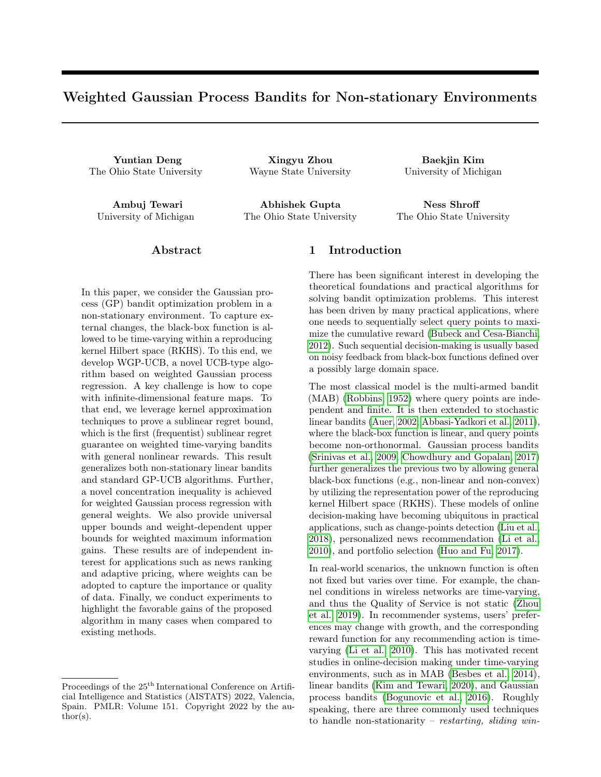# Weighted Gaussian Process Bandits for Non-stationary Environments

The Ohio State University Wayne State University University of Michigan

Yuntian Deng Xingyu Zhou Baekjin Kim

Ambuj Tewari Abhishek Gupta Ness Shroff University of Michigan The Ohio State University The Ohio State University

# Abstract

In this paper, we consider the Gaussian process (GP) bandit optimization problem in a non-stationary environment. To capture external changes, the black-box function is allowed to be time-varying within a reproducing kernel Hilbert space (RKHS). To this end, we develop WGP-UCB, a novel UCB-type algorithm based on weighted Gaussian process regression. A key challenge is how to cope with infinite-dimensional feature maps. To that end, we leverage kernel approximation techniques to prove a sublinear regret bound, which is the first (frequentist) sublinear regret guarantee on weighted time-varying bandits with general nonlinear rewards. This result generalizes both non-stationary linear bandits and standard GP-UCB algorithms. Further, a novel concentration inequality is achieved for weighted Gaussian process regression with general weights. We also provide universal upper bounds and weight-dependent upper bounds for weighted maximum information gains. These results are of independent interest for applications such as news ranking and adaptive pricing, where weights can be adopted to capture the importance or quality of data. Finally, we conduct experiments to highlight the favorable gains of the proposed algorithm in many cases when compared to existing methods.

Proceedings of the  $25<sup>th</sup>$  International Conference on Artificial Intelligence and Statistics (AISTATS) 2022, Valencia, Spain. PMLR: Volume 151. Copyright 2022 by the au- $\text{thor}(s)$ .

# 1 Introduction

There has been significant interest in developing the theoretical foundations and practical algorithms for solving bandit optimization problems. This interest has been driven by many practical applications, where one needs to sequentially select query points to maximize the cumulative reward [\(Bubeck and Cesa-Bianchi,](#page-8-0) [2012\)](#page-8-0). Such sequential decision-making is usually based on noisy feedback from black-box functions defined over a possibly large domain space.

The most classical model is the multi-armed bandit (MAB) [\(Robbins, 1952\)](#page-9-0) where query points are independent and finite. It is then extended to stochastic linear bandits [\(Auer, 2002;](#page-8-1) [Abbasi-Yadkori et al., 2011\)](#page-8-2), where the black-box function is linear, and query points become non-orthonormal. Gaussian process bandits [\(Srinivas et al., 2009;](#page-9-1) [Chowdhury and Gopalan, 2017\)](#page-8-3) further generalizes the previous two by allowing general black-box functions (e.g., non-linear and non-convex) by utilizing the representation power of the reproducing kernel Hilbert space (RKHS). These models of online decision-making have becoming ubiquitous in practical applications, such as change-points detection [\(Liu et al.,](#page-9-2) [2018\)](#page-9-2), personalized news recommendation [\(Li et al.,](#page-8-4) [2010\)](#page-8-4), and portfolio selection [\(Huo and Fu, 2017\)](#page-8-5).

In real-world scenarios, the unknown function is often not fixed but varies over time. For example, the channel conditions in wireless networks are time-varying, and thus the Quality of Service is not static [\(Zhou](#page-9-3) [et al., 2019\)](#page-9-3). In recommender systems, users' preferences may change with growth, and the corresponding reward function for any recommending action is timevarying [\(Li et al., 2010\)](#page-8-4). This has motivated recent studies in online-decision making under time-varying environments, such as in MAB [\(Besbes et al., 2014\)](#page-8-6), linear bandits [\(Kim and Tewari, 2020\)](#page-8-7), and Gaussian process bandits [\(Bogunovic et al., 2016\)](#page-8-8). Roughly speaking, there are three commonly used techniques to handle non-stationarity – restarting, sliding win-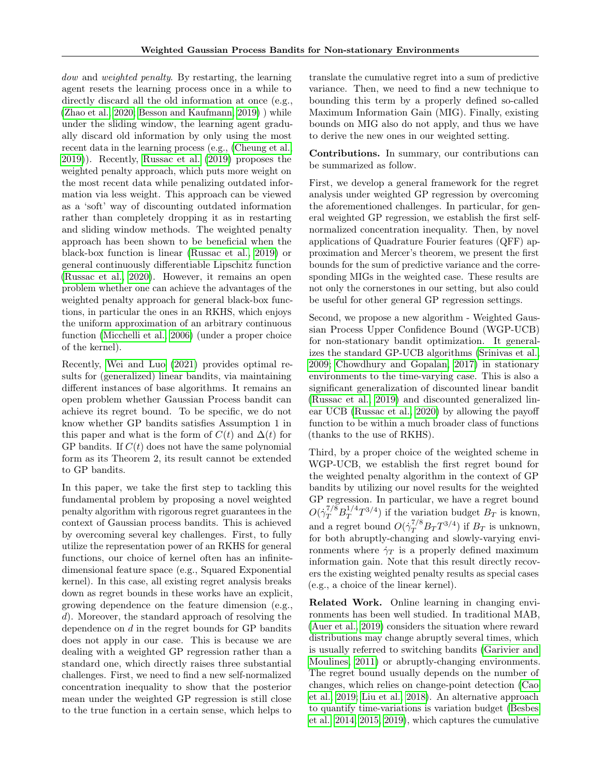dow and *weighted penalty*. By restarting, the learning agent resets the learning process once in a while to directly discard all the old information at once (e.g., [\(Zhao et al., 2020;](#page-9-4) [Besson and Kaufmann, 2019\)](#page-8-9) ) while under the sliding window, the learning agent gradually discard old information by only using the most recent data in the learning process (e.g., [\(Cheung et al.,](#page-8-10) [2019\)](#page-8-10)). Recently, [Russac et al. \(2019\)](#page-9-5) proposes the weighted penalty approach, which puts more weight on the most recent data while penalizing outdated information via less weight. This approach can be viewed as a 'soft' way of discounting outdated information rather than completely dropping it as in restarting and sliding window methods. The weighted penalty approach has been shown to be beneficial when the black-box function is linear [\(Russac et al., 2019\)](#page-9-5) or general continuously differentiable Lipschitz function [\(Russac et al., 2020\)](#page-9-6). However, it remains an open problem whether one can achieve the advantages of the weighted penalty approach for general black-box functions, in particular the ones in an RKHS, which enjoys the uniform approximation of an arbitrary continuous function [\(Micchelli et al., 2006\)](#page-9-7) (under a proper choice of the kernel).

Recently, [Wei and Luo \(2021\)](#page-9-8) provides optimal results for (generalized) linear bandits, via maintaining different instances of base algorithms. It remains an open problem whether Gaussian Process bandit can achieve its regret bound. To be specific, we do not know whether GP bandits satisfies Assumption 1 in this paper and what is the form of  $C(t)$  and  $\Delta(t)$  for GP bandits. If  $C(t)$  does not have the same polynomial form as its Theorem 2, its result cannot be extended to GP bandits.

In this paper, we take the first step to tackling this fundamental problem by proposing a novel weighted penalty algorithm with rigorous regret guarantees in the context of Gaussian process bandits. This is achieved by overcoming several key challenges. First, to fully utilize the representation power of an RKHS for general functions, our choice of kernel often has an infinitedimensional feature space (e.g., Squared Exponential kernel). In this case, all existing regret analysis breaks down as regret bounds in these works have an explicit, growing dependence on the feature dimension (e.g., d). Moreover, the standard approach of resolving the dependence on  $d$  in the regret bounds for GP bandits does not apply in our case. This is because we are dealing with a weighted GP regression rather than a standard one, which directly raises three substantial challenges. First, we need to find a new self-normalized concentration inequality to show that the posterior mean under the weighted GP regression is still close to the true function in a certain sense, which helps to translate the cumulative regret into a sum of predictive variance. Then, we need to find a new technique to bounding this term by a properly defined so-called Maximum Information Gain (MIG). Finally, existing bounds on MIG also do not apply, and thus we have to derive the new ones in our weighted setting.

Contributions. In summary, our contributions can be summarized as follow.

First, we develop a general framework for the regret analysis under weighted GP regression by overcoming the aforementioned challenges. In particular, for general weighted GP regression, we establish the first selfnormalized concentration inequality. Then, by novel applications of Quadrature Fourier features (QFF) approximation and Mercer's theorem, we present the first bounds for the sum of predictive variance and the corresponding MIGs in the weighted case. These results are not only the cornerstones in our setting, but also could be useful for other general GP regression settings.

Second, we propose a new algorithm - Weighted Gaussian Process Upper Confidence Bound (WGP-UCB) for non-stationary bandit optimization. It generalizes the standard GP-UCB algorithms [\(Srinivas et al.,](#page-9-1) [2009;](#page-9-1) [Chowdhury and Gopalan, 2017\)](#page-8-3) in stationary environments to the time-varying case. This is also a significant generalization of discounted linear bandit [\(Russac et al., 2019\)](#page-9-5) and discounted generalized linear UCB [\(Russac et al., 2020\)](#page-9-6) by allowing the payoff function to be within a much broader class of functions (thanks to the use of RKHS).

Third, by a proper choice of the weighted scheme in WGP-UCB, we establish the first regret bound for the weighted penalty algorithm in the context of GP bandits by utilizing our novel results for the weighted GP regression. In particular, we have a regret bound  $O(\dot{\gamma}_T^{7/8}B_T^{1/4}$  $T^{1/4}T^{3/4}$  if the variation budget  $B_T$  is known, and a regret bound  $O(\dot{\gamma}_T^{7/8} B_T T^{3/4})$  if  $B_T$  is unknown, for both abruptly-changing and slowly-varying environments where  $\dot{\gamma}_T$  is a properly defined maximum information gain. Note that this result directly recovers the existing weighted penalty results as special cases (e.g., a choice of the linear kernel).

Related Work. Online learning in changing environments has been well studied. In traditional MAB, [\(Auer et al., 2019\)](#page-8-11) considers the situation where reward distributions may change abruptly several times, which is usually referred to switching bandits [\(Garivier and](#page-8-12) [Moulines, 2011\)](#page-8-12) or abruptly-changing environments. The regret bound usually depends on the number of changes, which relies on change-point detection [\(Cao](#page-8-13) [et al., 2019;](#page-8-13) [Liu et al., 2018\)](#page-9-2). An alternative approach to quantify time-variations is variation budget [\(Besbes](#page-8-6) [et al., 2014,](#page-8-6) [2015,](#page-8-14) [2019\)](#page-8-15), which captures the cumulative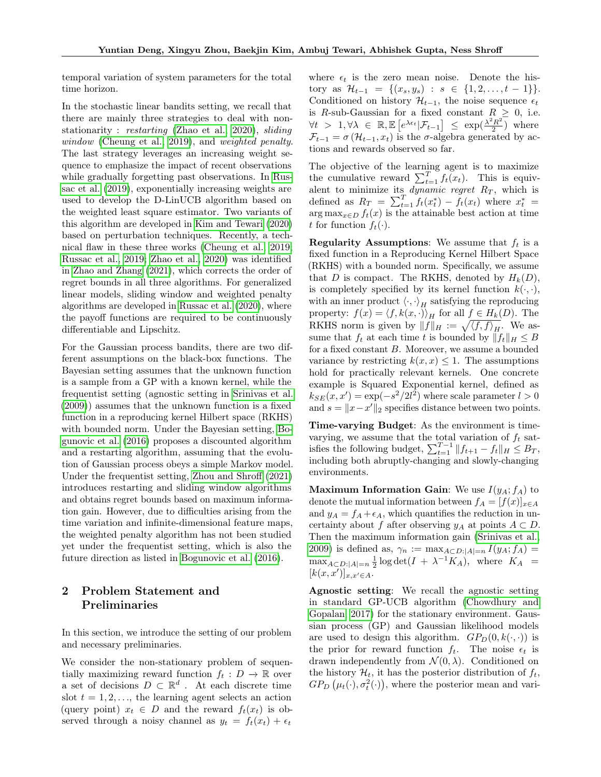temporal variation of system parameters for the total time horizon.

In the stochastic linear bandits setting, we recall that there are mainly three strategies to deal with nonstationarity : restarting [\(Zhao et al., 2020\)](#page-9-4), sliding window [\(Cheung et al., 2019\)](#page-8-10), and weighted penalty. The last strategy leverages an increasing weight sequence to emphasize the impact of recent observations while gradually forgetting past observations. In [Rus](#page-9-5)[sac et al. \(2019\)](#page-9-5), exponentially increasing weights are used to develop the D-LinUCB algorithm based on the weighted least square estimator. Two variants of this algorithm are developed in [Kim and Tewari \(2020\)](#page-8-7) based on perturbation techniques. Recently, a technical flaw in these three works [\(Cheung et al., 2019;](#page-8-10) [Russac et al., 2019;](#page-9-5) [Zhao et al., 2020\)](#page-9-4) was identified in [Zhao and Zhang \(2021\)](#page-9-9), which corrects the order of regret bounds in all three algorithms. For generalized linear models, sliding window and weighted penalty algorithms are developed in [Russac et al. \(2020\)](#page-9-6), where the payoff functions are required to be continuously differentiable and Lipschitz.

For the Gaussian process bandits, there are two different assumptions on the black-box functions. The Bayesian setting assumes that the unknown function is a sample from a GP with a known kernel, while the frequentist setting (agnostic setting in [Srinivas et al.](#page-9-1) [\(2009\)](#page-9-1)) assumes that the unknown function is a fixed function in a reproducing kernel Hilbert space (RKHS) with bounded norm. Under the Bayesian setting, [Bo](#page-8-8)[gunovic et al. \(2016\)](#page-8-8) proposes a discounted algorithm and a restarting algorithm, assuming that the evolution of Gaussian process obeys a simple Markov model. Under the frequentist setting, [Zhou and Shroff \(2021\)](#page-9-10) introduces restarting and sliding window algorithms and obtains regret bounds based on maximum information gain. However, due to difficulties arising from the time variation and infinite-dimensional feature maps, the weighted penalty algorithm has not been studied yet under the frequentist setting, which is also the future direction as listed in [Bogunovic et al. \(2016\)](#page-8-8).

# 2 Problem Statement and Preliminaries

In this section, we introduce the setting of our problem and necessary preliminaries.

We consider the non-stationary problem of sequentially maximizing reward function  $f_t : D \to \mathbb{R}$  over a set of decisions  $D \subset \mathbb{R}^d$ . At each discrete time slot  $t = 1, 2, \ldots$ , the learning agent selects an action (query point)  $x_t \in D$  and the reward  $f_t(x_t)$  is observed through a noisy channel as  $y_t = f_t(x_t) + \epsilon_t$  where  $\epsilon_t$  is the zero mean noise. Denote the history as  $\mathcal{H}_{t-1} = \{(x_s, y_s) : s \in \{1, 2, ..., t-1\}\}.$ Conditioned on history  $\mathcal{H}_{t-1}$ , the noise sequence  $\epsilon_t$ is R-sub-Gaussian for a fixed constant  $R \geq 0$ , i.e.  $\forall t > 1, \forall \lambda \in \mathbb{R}, \mathbb{E}\left[e^{\lambda \epsilon_t}|\mathcal{F}_{t-1}\right] \leq \exp(\frac{\lambda^2 R^2}{2})$  $\frac{R^2}{2}$  where  $\mathcal{F}_{t-1} = \sigma(\mathcal{H}_{t-1}, x_t)$  is the  $\sigma$ -algebra generated by actions and rewards observed so far.

The objective of the learning agent is to maximize the cumulative reward  $\sum_{t=1}^{T} f_t(x_t)$ . This is equivalent to minimize its *dynamic regret*  $R_T$ , which is defined as  $R_T = \sum_{t=1}^T f_t(x_t^*) - \dot{f}_t(x_t)$  where  $x_t^* =$  $\arg \max_{x \in D} f_t(x)$  is the attainable best action at time t for function  $f_t(\cdot)$ .

**Regularity Assumptions:** We assume that  $f_t$  is a fixed function in a Reproducing Kernel Hilbert Space (RKHS) with a bounded norm. Specifically, we assume that D is compact. The RKHS, denoted by  $H_k(D)$ , is completely specified by its kernel function  $k(\cdot, \cdot)$ , with an inner product  $\langle \cdot, \cdot \rangle_H$  satisfying the reproducing property:  $f(x) = \langle f, k(x, \cdot) \rangle_H$  for all  $f \in H_k(D)$ . The RKHS norm is given by  $||f||_H := \sqrt{\langle f, f \rangle_H}$ . We assume that  $f_t$  at each time t is bounded by  $||f_t||_H \leq B$ for a fixed constant B. Moreover, we assume a bounded variance by restricting  $k(x, x) \leq 1$ . The assumptions hold for practically relevant kernels. One concrete example is Squared Exponential kernel, defined as  $k_{SE}(x, x') = \exp(-s^2/2l^2)$  where scale parameter  $l > 0$ and  $s = ||x - x'||_2$  specifies distance between two points.

Time-varying Budget: As the environment is timevarying, we assume that the total variation of  $f_t$  satisfies the following budget,  $\sum_{t=1}^{T-1} ||f_{t+1} - f_t||_H \leq B_T$ , including both abruptly-changing and slowly-changing environments.

**Maximum Information Gain:** We use  $I(y_A; f_A)$  to denote the mutual information between  $f_A = [f(x)]_{x \in A}$ and  $y_A = f_A + \epsilon_A$ , which quantifies the reduction in uncertainty about f after observing  $y_A$  at points  $A \subset D$ . Then the maximum information gain [\(Srinivas et al.,](#page-9-1) [2009\)](#page-9-1) is defined as,  $\gamma_n := \max_{A \subset D: |A|=n} I(y_A; f_A) =$  $\max_{A \subset D: |A|=n} \frac{1}{2} \log \det(I + \lambda^{-1} K_A)$ , where  $K_A =$  $[k(x, x')]_{x, x' \in A}$ .

Agnostic setting: We recall the agnostic setting in standard GP-UCB algorithm [\(Chowdhury and](#page-8-3) [Gopalan, 2017\)](#page-8-3) for the stationary environment. Gaussian process (GP) and Gaussian likelihood models are used to design this algorithm.  $GP_D(0, k(\cdot, \cdot))$  is the prior for reward function  $f_t$ . The noise  $\epsilon_t$  is drawn independently from  $\mathcal{N}(0, \lambda)$ . Conditioned on the history  $\mathcal{H}_t$ , it has the posterior distribution of  $f_t$ ,  $GP_D(\mu_t(\cdot), \sigma_t^2(\cdot)),$  where the posterior mean and vari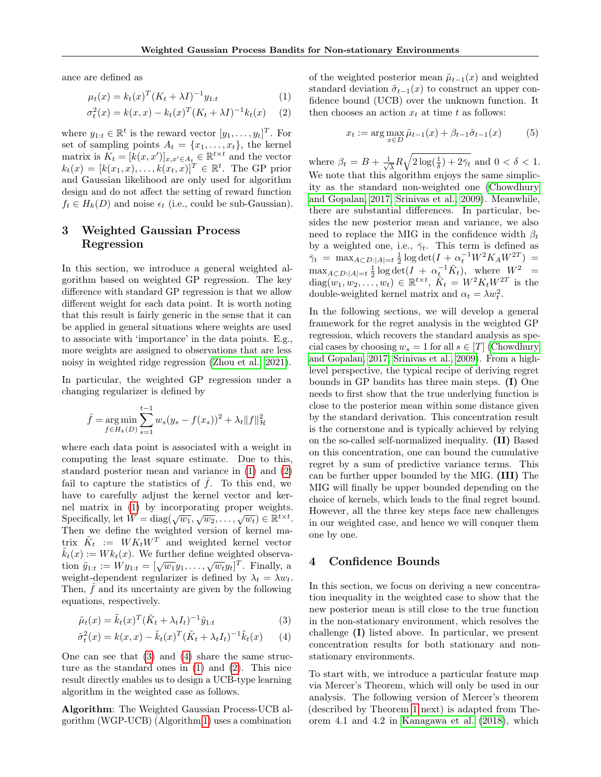ance are defined as

$$
\mu_t(x) = k_t(x)^T (K_t + \lambda I)^{-1} y_{1:t}
$$
\n(1)

$$
\sigma_t^2(x) = k(x, x) - k_t(x)^T (K_t + \lambda I)^{-1} k_t(x) \quad (2)
$$

where  $y_{1:t} \in \mathbb{R}^t$  is the reward vector  $[y_1, \ldots, y_t]^T$ . For set of sampling points  $A_t = \{x_1, \ldots, x_t\}$ , the kernel matrix is  $K_t = [k(x, x')]_{x, x' \in A_t} \in \mathbb{R}^{t \times t}$  and the vector  $k_t(x) = [k(x_1, x), \ldots, k(x_t, x)]^T \in \mathbb{R}^t$ . The GP prior and Gaussian likelihood are only used for algorithm design and do not affect the setting of reward function  $f_t \in H_k(D)$  and noise  $\epsilon_t$  (i.e., could be sub-Gaussian).

# <span id="page-3-4"></span>3 Weighted Gaussian Process Regression

In this section, we introduce a general weighted algorithm based on weighted GP regression. The key difference with standard GP regression is that we allow different weight for each data point. It is worth noting that this result is fairly generic in the sense that it can be applied in general situations where weights are used to associate with 'importance' in the data points. E.g., more weights are assigned to observations that are less noisy in weighted ridge regression [\(Zhou et al., 2021\)](#page-9-11).

In particular, the weighted GP regression under a changing regularizer is defined by

$$
\hat{f} = \underset{f \in H_k(D)}{\arg \min} \sum_{s=1}^{t-1} w_s (y_s - f(x_s))^2 + \lambda_t \|f\|_{\mathcal{H}}^2
$$

where each data point is associated with a weight in computing the least square estimate. Due to this, standard posterior mean and variance in [\(1\)](#page-3-0) and [\(2\)](#page-3-1) fail to capture the statistics of  $\hat{f}$ . To this end, we have to carefully adjust the kernel vector and kernel matrix in [\(1\)](#page-3-0) by incorporating proper weights. Specifically, let  $W = \text{diag}(\sqrt{w_1}, \sqrt{w_2}, \dots, \sqrt{w_t}) \in \mathbb{R}^{t \times t}$ . Then we define the weighted version of kernel matrix  $\tilde{K}_t := W K_t W^T$  and weighted kernel vector  $\tilde{k}_t(x) := W k_t(x)$ . We further define weighted observa- $\tilde{y}_{1:t} := W y_{1:t} = [\sqrt{w_1} y_1, \dots, \sqrt{w_t} y_t]^T$ . Finally, a weight-dependent regularizer is defined by  $\lambda_t = \lambda w_t$ . Then,  $\hat{f}$  and its uncertainty are given by the following equations, respectively.

$$
\tilde{\mu}_t(x) = \tilde{k}_t(x)^T (\tilde{K}_t + \lambda_t I_t)^{-1} \tilde{y}_{1:t} \tag{3}
$$

$$
\tilde{\sigma}_t^2(x) = k(x, x) - \tilde{k}_t(x)^T (\tilde{K}_t + \lambda_t I_t)^{-1} \tilde{k}_t(x) \qquad (4)
$$

One can see that [\(3\)](#page-3-2) and [\(4\)](#page-3-3) share the same structure as the standard ones in [\(1\)](#page-3-0) and [\(2\)](#page-3-1). This nice result directly enables us to design a UCB-type learning algorithm in the weighted case as follows.

Algorithm: The Weighted Gaussian Process-UCB algorithm (WGP-UCB) (Algorithm [1\)](#page-4-0) uses a combination <span id="page-3-1"></span><span id="page-3-0"></span>of the weighted posterior mean  $\tilde{\mu}_{t-1}(x)$  and weighted standard deviation  $\tilde{\sigma}_{t-1}(x)$  to construct an upper confidence bound (UCB) over the unknown function. It then chooses an action  $x_t$  at time t as follows:

<span id="page-3-5"></span>
$$
x_t := \arg\max_{x \in D} \tilde{\mu}_{t-1}(x) + \beta_{t-1}\tilde{\sigma}_{t-1}(x) \tag{5}
$$

where  $\beta_t = B + \frac{1}{\sqrt{2}}$  $\frac{1}{\lambda}R\sqrt{2\log(\frac{1}{\delta})+2\bar{\gamma}_t}$  and  $0 < \delta < 1$ . We note that this algorithm enjoys the same simplicity as the standard non-weighted one [\(Chowdhury](#page-8-3) [and Gopalan, 2017;](#page-8-3) [Srinivas et al., 2009\)](#page-9-1). Meanwhile, there are substantial differences. In particular, besides the new posterior mean and variance, we also need to replace the MIG in the confidence width  $\beta_t$ by a weighted one, i.e.,  $\bar{\gamma}_t$ . This term is defined as  $\bar{\gamma}_t = \max_{A \subset D: |A|=t} \frac{1}{2} \log \det(I + \alpha_t^{-1} W^2 K_A W^{2T}) =$  $\max_{A \subset D: |A|=t} \frac{1}{2} \log \det(I + \alpha_t^{-1} \bar{K}_t), \text{ where } W^2 =$  $diag(w_1, w_2, \ldots, w_t) \in \mathbb{R}^{t \times t}, \overline{K}_t = W^2 K_t W^{2T}$  is the double-weighted kernel matrix and  $\alpha_t = \lambda w_t^2$ .

In the following sections, we will develop a general framework for the regret analysis in the weighted GP regression, which recovers the standard analysis as special cases by choosing  $w_s = 1$  for all  $s \in [T]$  [\(Chowdhury](#page-8-3) [and Gopalan, 2017;](#page-8-3) [Srinivas et al., 2009\)](#page-9-1). From a highlevel perspective, the typical recipe of deriving regret bounds in GP bandits has three main steps. (I) One needs to first show that the true underlying function is close to the posterior mean within some distance given by the standard derivation. This concentration result is the cornerstone and is typically achieved by relying on the so-called self-normalized inequality. (II) Based on this concentration, one can bound the cumulative regret by a sum of predictive variance terms. This can be further upper bounded by the MIG. (III) The MIG will finally be upper bounded depending on the choice of kernels, which leads to the final regret bound. However, all the three key steps face new challenges in our weighted case, and hence we will conquer them one by one.

# 4 Confidence Bounds

<span id="page-3-3"></span><span id="page-3-2"></span>In this section, we focus on deriving a new concentration inequality in the weighted case to show that the new posterior mean is still close to the true function in the non-stationary environment, which resolves the challenge (I) listed above. In particular, we present concentration results for both stationary and nonstationary environments.

To start with, we introduce a particular feature map via Mercer's Theorem, which will only be used in our analysis. The following version of Mercer's theorem (described by Theorem [1](#page-4-1) next) is adapted from Theorem 4.1 and 4.2 in [Kanagawa et al. \(2018\)](#page-8-16), which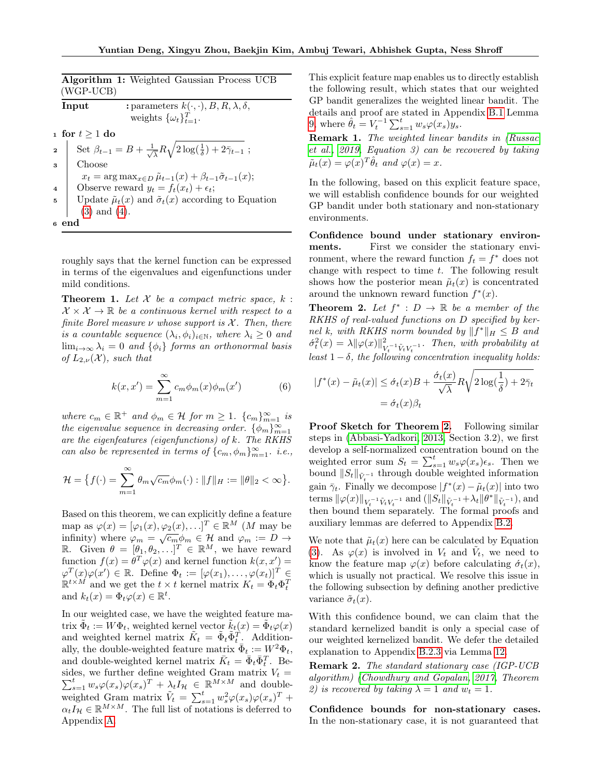| Algorithm 1: Weighted Gaussian Process UCB<br>(WGP-UCB) |                                                                                                             |  |
|---------------------------------------------------------|-------------------------------------------------------------------------------------------------------------|--|
|                                                         | : parameters $k(\cdot, \cdot), B, R, \lambda, \delta,$<br>Input<br>weights $\{\omega_t\}_{t=1}^T$ .         |  |
| 1 for $t \geq 1$ do                                     |                                                                                                             |  |
| $\overline{a}$                                          | Set $\beta_{t-1} = B + \frac{1}{\sqrt{\lambda}} R \sqrt{2 \log(\frac{1}{\delta}) + 2 \bar{\gamma}_{t-1}}$ ; |  |
| $\boldsymbol{\mathcal{S}}$                              | Choose                                                                                                      |  |
|                                                         | $x_t = \arg \max_{x \in D} \tilde{\mu}_{t-1}(x) + \beta_{t-1} \tilde{\sigma}_{t-1}(x);$                     |  |
| $\overline{\mathbf{4}}$                                 | Observe reward $y_t = f_t(x_t) + \epsilon_t$ ;                                                              |  |
| 5                                                       | Update $\tilde{\mu}_t(x)$ and $\tilde{\sigma}_t(x)$ according to Equation                                   |  |
|                                                         | $(3)$ and $(4)$ .                                                                                           |  |
| 6 end                                                   |                                                                                                             |  |

<span id="page-4-0"></span>roughly says that the kernel function can be expressed in terms of the eigenvalues and eigenfunctions under mild conditions.

<span id="page-4-1"></span>**Theorem 1.** Let  $X$  be a compact metric space,  $k$ :  $\mathcal{X} \times \mathcal{X} \rightarrow \mathbb{R}$  be a continuous kernel with respect to a finite Borel measure  $\nu$  whose support is  $\mathcal{X}$ . Then, there is a countable sequence  $(\lambda_i, \phi_i)_{i \in \mathbb{N}}$ , where  $\lambda_i \geq 0$  and  $\lim_{i\to\infty}\lambda_i=0$  and  $\{\phi_i\}$  forms an orthonormal basis of  $L_{2,\nu}(\mathcal{X})$ , such that

$$
k(x, x') = \sum_{m=1}^{\infty} c_m \phi_m(x) \phi_m(x')
$$
 (6)

where  $c_m \in \mathbb{R}^+$  and  $\phi_m \in \mathcal{H}$  for  $m \geq 1$ .  $\{c_m\}_{m=1}^{\infty}$  is the eigenvalue sequence in decreasing order.  $\{\phi_m\}_{m=1}^{\infty}$ are the eigenfeatures (eigenfunctions) of k. The RKHS can also be represented in terms of  $\{c_m, \phi_m\}_{m=1}^{\infty}$ . i.e.,

$$
\mathcal{H} = \big\{ f(\cdot) = \sum_{m=1}^{\infty} \theta_m \sqrt{c_m} \phi_m(\cdot) : ||f||_H := ||\theta||_2 < \infty \big\}.
$$

Based on this theorem, we can explicitly define a feature map as  $\varphi(x) = [\varphi_1(x), \varphi_2(x), \ldots]^T \in \mathbb{R}^M$  (*M* may be infinity) where  $\varphi_m = \sqrt{c_m} \phi_m \in \mathcal{H}$  and  $\varphi_m := D \to$ R. Given  $\theta = [\theta_1, \theta_2, \ldots]^T \in \mathbb{R}^M$ , we have reward function  $f(x) = \theta^T \varphi(x)$  and kernel function  $k(x, x') =$  $\varphi^T(x)\varphi(x') \in \mathbb{R}$ . Define  $\Phi_t := [\varphi(x_1), \ldots, \varphi(x_t)]^T \in$  $\mathbb{R}^{t \times M}$  and we get the  $t \times t$  kernel matrix  $K_t = \Phi_t \Phi_t^T$ and  $k_t(x) = \Phi_t \varphi(x) \in \mathbb{R}^t$ .

In our weighted case, we have the weighted feature matrix  $\tilde{\Phi}_t := W \Phi_t$ , weighted kernel vector  $\tilde{k}_t(x) = \tilde{\Phi}_t \varphi(x)$ and weighted kernel matrix  $\tilde{K}_t = \tilde{\Phi}_t \tilde{\Phi}_t^T$ . Additionally, the double-weighted feature matrix  $\bar{\Phi}_t := W^2 \Phi_t$ , and double-weighted kernel matrix  $\bar{K}_t = \bar{\Phi}_t \bar{\Phi}_t^T$ . Besides, we further define weighted Gram matrix  $V_t =$  $\sum_{s=1}^t w_s \varphi(x_s) \varphi(x_s)^T + \lambda_t I_H \in \mathbb{R}^{M \times M}$  and doubleweighted Gram matrix  $\tilde{V}_t = \sum_{s=1}^t w_s^2 \varphi(x_s) \varphi(x_s)^T +$  $\alpha_t I_{\mathcal{H}} \in \mathbb{R}^{M \times M}$ . The full list of notations is deferred to Appendix [A.](#page-10-0)

This explicit feature map enables us to directly establish the following result, which states that our weighted GP bandit generalizes the weighted linear bandit. The details and proof are stated in Appendix [B.1](#page-11-0) Lemma [9,](#page-11-1) where  $\hat{\theta}_t = V_t^{-1} \sum_{s=1}^t w_s \varphi(x_s) y_s$ .

Remark 1. The weighted linear bandits in [\(Russac](#page-9-5) [et al., 2019,](#page-9-5) Equation 3) can be recovered by taking  $\tilde{\mu}_t(x) = \varphi(x)^T \hat{\theta}_t$  and  $\varphi(x) = x$ .

In the following, based on this explicit feature space, we will establish confidence bounds for our weighted GP bandit under both stationary and non-stationary environments.

Confidence bound under stationary environments. First we consider the stationary environment, where the reward function  $f_t = f^*$  does not change with respect to time  $t$ . The following result shows how the posterior mean  $\tilde{\mu}_t(x)$  is concentrated around the unknown reward function  $f^*(x)$ .

<span id="page-4-2"></span>**Theorem 2.** Let  $f^* : D \to \mathbb{R}$  be a member of the RKHS of real-valued functions on D specified by kernel k, with RKHS norm bounded by  $||f^*||_H \leq B$  and  $\acute{\sigma}_{t}^{2}(x) = \lambda \|\varphi(x)\|_{V}^{2}$  $\frac{2}{V_t^{-1}\tilde{V}_tV_t^{-1}}$ . Then, with probability at least  $1 - \delta$ , the following concentration inequality holds:

<span id="page-4-3"></span>
$$
|f^*(x) - \tilde{\mu}_t(x)| \le \dot{\sigma}_t(x)B + \frac{\dot{\sigma}_t(x)}{\sqrt{\lambda}}R\sqrt{2\log(\frac{1}{\delta}) + 2\bar{\gamma}_t}
$$

$$
= \dot{\sigma}_t(x)\beta_t
$$

Proof Sketch for Theorem [2.](#page-4-2) Following similar steps in [\(Abbasi-Yadkori, 2013,](#page-8-17) Section 3.2), we first develop a self-normalized concentration bound on the weighted error sum  $S_t = \sum_{s=1}^t w_s \varphi(x_s) \epsilon_s$ . Then we bound  $||S_t||_{\tilde{V}_t^{-1}}$  through double weighted information gain  $\bar{\gamma}_t$ . Finally we decompose  $|f^*(x) - \tilde{\mu}_t(x)|$  into two terms  $\|\varphi(x)\|_{V_t^{-1}\tilde{V}_tV_t^{-1}}$  and  $(\|S_t\|_{\tilde{V}_t^{-1}} + \lambda_t \|\theta^*\|_{\tilde{V}_t^{-1}})$ , and then bound them separately. The formal proofs and auxiliary lemmas are deferred to Appendix [B.2.](#page-11-2)

We note that  $\tilde{\mu}_t(x)$  here can be calculated by Equation [\(3\)](#page-3-2). As  $\varphi(x)$  is involved in  $V_t$  and  $\tilde{V}_t$ , we need to know the feature map  $\varphi(x)$  before calculating  $\dot{\sigma}_t(x)$ , which is usually not practical. We resolve this issue in the following subsection by defining another predictive variance  $\tilde{\sigma}_t(x)$ .

With this confidence bound, we can claim that the standard kernelized bandit is only a special case of our weighted kernelized bandit. We defer the detailed explanation to Appendix [B.2.3](#page-12-0) via Lemma [12.](#page-12-1)

<span id="page-4-4"></span>Remark 2. The standard stationary case (IGP-UCB algorithm) [\(Chowdhury and Gopalan, 2017,](#page-8-3) Theorem 2) is recovered by taking  $\lambda = 1$  and  $w_t = 1$ .

Confidence bounds for non-stationary cases. In the non-stationary case, it is not guaranteed that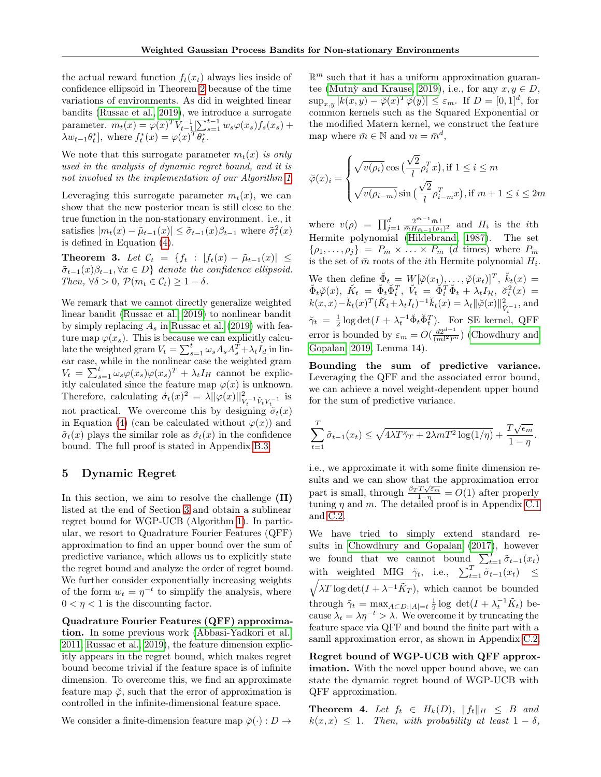the actual reward function  $f_t(x_t)$  always lies inside of confidence ellipsoid in Theorem [2](#page-4-2) because of the time variations of environments. As did in weighted linear bandits [\(Russac et al., 2019\)](#page-9-5), we introduce a surrogate parameter.  $m_t(x) = \varphi(x)^T V_{t-1}^{-1} \left[ \sum_{s=1}^{t-1} w_s \varphi(x_s) f_s(x_s) + \right]$  $\lambda w_{t-1} \theta_t^*$ , where  $f_t^*(x) = \varphi(x)^\text{T} \theta_t^*$ .

We note that this surrogate parameter  $m_t(x)$  is only used in the analysis of dynamic regret bound, and it is not involved in the implementation of our Algorithm [1](#page-4-0).

Leveraging this surrogate parameter  $m_t(x)$ , we can show that the new posterior mean is still close to the true function in the non-stationary environment. i.e., it satisfies  $|m_t(x) - \tilde{\mu}_{t-1}(x)| \leq \tilde{\sigma}_{t-1}(x)\beta_{t-1}$  where  $\tilde{\sigma}_t^2(x)$ is defined in Equation [\(4\)](#page-3-3).

<span id="page-5-1"></span>Theorem 3. Let  $\mathcal{C}_t = \{f_t : |f_t(x) - \tilde{\mu}_{t-1}(x)| \leq$  $\tilde{\sigma}_{t-1}(x)\beta_{t-1}, \forall x \in D$ } denote the confidence ellipsoid. Then,  $\forall \delta > 0$ ,  $\mathcal{P}(m_t \in \mathcal{C}_t) \geq 1 - \delta$ .

We remark that we cannot directly generalize weighted linear bandit [\(Russac et al., 2019\)](#page-9-5) to nonlinear bandit by simply replacing  $A_s$  in [Russac et al. \(2019\)](#page-9-5) with feature map  $\varphi(x_s)$ . This is because we can explicitly calculate the weighted gram  $V_t = \sum_{s=1}^t \omega_s A_s A_s^T + \lambda_t I_d$  in linear case, while in the nonlinear case the weighted gram  $V_t = \sum_{s=1}^t \omega_s \varphi(x_s) \varphi(x_s)^T + \lambda_t I_H$  cannot be explicitly calculated since the feature map  $\varphi(x)$  is unknown. Therefore, calculating  $\dot{\sigma}_t(x)^2 = \lambda ||\varphi(x)||^2_{V_t^{-1}\tilde{V}_tV_t^{-1}}$  is not practical. We overcome this by designing  $\tilde{\sigma}_t(x)$ in Equation [\(4\)](#page-3-3) (can be calculated without  $\varphi(x)$ ) and  $\tilde{\sigma}_t(x)$  plays the similar role as  $\tilde{\sigma}_t(x)$  in the confidence bound. The full proof is stated in Appendix [B.3.](#page-13-0)

# 5 Dynamic Regret

In this section, we aim to resolve the challenge (II) listed at the end of Section [3](#page-3-4) and obtain a sublinear regret bound for WGP-UCB (Algorithm [1\)](#page-4-0). In particular, we resort to Quadrature Fourier Features (QFF) approximation to find an upper bound over the sum of predictive variance, which allows us to explicitly state the regret bound and analyze the order of regret bound. We further consider exponentially increasing weights of the form  $w_t = \eta^{-t}$  to simplify the analysis, where  $0 < \eta < 1$  is the discounting factor.

Quadrature Fourier Features (QFF) approximation. In some previous work [\(Abbasi-Yadkori et al.,](#page-8-2) [2011;](#page-8-2) [Russac et al., 2019\)](#page-9-5), the feature dimension explicitly appears in the regret bound, which makes regret bound become trivial if the feature space is of infinite dimension. To overcome this, we find an approximate feature map  $\phi$ , such that the error of approximation is controlled in the infinite-dimensional feature space.

We consider a finite-dimension feature map  $\check{\varphi}(\cdot) : D \to$ 

 $\mathbb{R}^m$  such that it has a uniform approximation guarantee (Mutnỳ and Krause, 2019), i.e., for any  $x, y \in D$ ,  $\sup_{x,y} |k(x,y) - \check{\varphi}(x)^T \check{\varphi}(y)| \leq \varepsilon_m$ . If  $D = [0,1]^d$ , for common kernels such as the Squared Exponential or the modified Matern kernel, we construct the feature map where  $\bar{m} \in \mathbb{N}$  and  $m = \bar{m}^d$ ,

$$
\check{\varphi}(x)_i = \begin{cases} \sqrt{v(\rho_i)} \cos\left(\frac{\sqrt{2}}{l} \rho_i^T x\right), \text{if } 1 \leq i \leq m \\ \sqrt{v(\rho_{i-m})} \sin\left(\frac{\sqrt{2}}{l} \rho_{i-m}^T x\right), \text{if } m+1 \leq i \leq 2m \end{cases}
$$

where  $v(\rho) = \prod_{j=1}^d \frac{2^{m-1} \bar{m}!}{\bar{m} H_{\bar{m}-1}(\rho_j)^2}$  and  $H_i$  is the *i*th Hermite polynomial [\(Hildebrand, 1987\)](#page-8-18). The set  $\{\rho_1,\ldots,\rho_j\} = P_{\bar{m}} \times \ldots \times P_{\bar{m}}$  (d times) where  $P_{\bar{m}}$ is the set of  $\bar{m}$  roots of the *i*<sup>th</sup> Hermite polynomial  $H_i$ .

We then define  $\check{\Phi}_t = W[\check{\varphi}(x_1), \ldots, \check{\varphi}(x_t)]^T$ ,  $\check{k}_t(x) =$  $\breve{\Phi}_t\breve{\varphi}(x),\,\, \breve{K}_t\,\,=\,\, \breve{\Phi}_t\breve{\Phi}_t^T,\,\, \breve{V}_t\,\,=\,\, \breve{\Phi}_t^T\breve{\Phi}_t\,+\,\lambda_t I_{\mathcal{H}},\,\, \breve{\sigma}_t^2(x)\,\,=\,\,$  $k(x, x) - \breve{k}_t(x)^T (\breve{K}_t + \lambda_t I_t)^{-1} \breve{k}_t(x) = \lambda_t ||\breve{\varphi}(x)||_{\breve{V}_t^{-1}}^2$ , and  $\breve{\gamma}_t = \frac{1}{2} \log \det(I + \lambda_t^{-1} \breve{\Phi}_t \breve{\Phi}_t^T)$ . For SE kernel, QFF error is bounded by  $\varepsilon_m = O(\frac{d2^{d-1}}{(\bar{m}l^2)^{\bar{m}}})$  [\(Chowdhury and](#page-8-19) [Gopalan, 2019,](#page-8-19) Lemma 14).

Bounding the sum of predictive variance. Leveraging the QFF and the associated error bound, we can achieve a novel weight-dependent upper bound for the sum of predictive variance.

$$
\sum_{t=1}^{T} \tilde{\sigma}_{t-1}(x_t) \le \sqrt{4\lambda T \tilde{\gamma}_T + 2\lambda m T^2 \log(1/\eta)} + \frac{T\sqrt{\epsilon_m}}{1-\eta}.
$$

i.e., we approximate it with some finite dimension results and we can show that the approximation error part is small, through  $\frac{\beta_T T \sqrt{\varepsilon_m}}{1-\eta} = O(1)$  after properly tuning  $\eta$  and  $m$ . The detailed proof is in Appendix [C.1](#page-14-0) and [C.2.](#page-15-0)

We have tried to simply extend standard results in [Chowdhury and Gopalan \(2017\)](#page-8-3), however we found that we cannot bound  $\sum_{t=1}^{T} \tilde{\sigma}_{t-1}(x_t)$ with weighted MIG  $\tilde{\gamma}_t$ , i.e.,  $\sum_{t=1}^T \tilde{\sigma}_{t-1}(x_t) \leq$  $\lambda T \log \det(I + \lambda^{-1} \tilde{K}_T)$ , which cannot be bounded through  $\tilde{\gamma}_t = \max_{A \subset D: |A|=t} \frac{1}{2} \log \det(I + \lambda_t^{-1} \tilde{K}_t)$  because  $\lambda_t = \lambda \eta^{-t} > \lambda$ . We overcome it by truncating the feature space via QFF and bound the finite part with a samll approximation error, as shown in Appendix [C.2.](#page-15-0)

Regret bound of WGP-UCB with QFF approximation. With the novel upper bound above, we can state the dynamic regret bound of WGP-UCB with QFF approximation.

<span id="page-5-0"></span>**Theorem 4.** Let  $f_t \in H_k(D)$ ,  $||f_t||_H \leq B$  and  $k(x, x) \leq 1$ . Then, with probability at least  $1 - \delta$ ,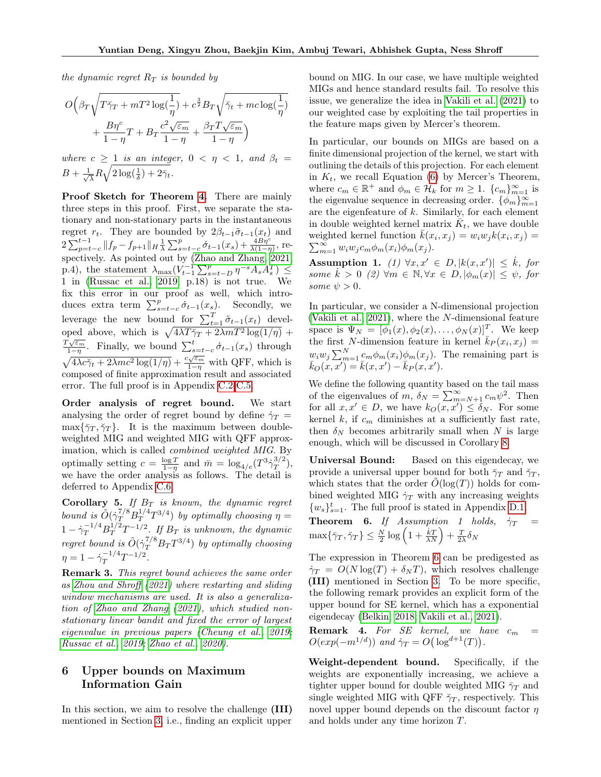the dynamic regret  $R_T$  is bounded by

$$
\begin{aligned} O\Big(\beta_T\sqrt{T\check{\gamma}_T+mT^2\log(\frac{1}{\eta})}+c^{\frac{3}{2}} B_T\sqrt{\check{\gamma}_t+mc\log(\frac{1}{\eta})}\\+\frac{B\eta^c}{1-\eta}T+B_T\frac{c^2\sqrt{\varepsilon_m}}{1-\eta}+\frac{\beta_T T\sqrt{\varepsilon_m}}{1-\eta}\Big) \end{aligned}
$$

where  $c \geq 1$  is an integer,  $0 < \eta < 1$ , and  $\beta_t =$  $B + \frac{1}{\sqrt{2}}$  $\frac{1}{\lambda}R\sqrt{2\log(\frac{1}{\delta})+2\bar{\gamma}_t}.$ 

Proof Sketch for Theorem [4.](#page-5-0) There are mainly three steps in this proof. First, we separate the stationary and non-stationary parts in the instantaneous regret  $r_t$ . They are bounded by  $2\beta_{t-1}\tilde{\sigma}_{t-1}(x_t)$  and  $2\sum_{p=t-c}^{t-1} \|f_p - f_{p+1}\|_H \frac{1}{\lambda} \sum_{s=t-c}^p \acute{\sigma}_{t-1}(x_s) + \frac{\grave{A}B\eta^c}{\lambda(1-\eta)},$  re-spectively. As pointed out by [\(Zhao and Zhang, 2021,](#page-9-9) p.4), the statement  $\lambda_{\max}(V_{t-1}^{-1} \sum_{s=t-D}^{p} \eta^{-s} A_s A_s^T) \leq$ 1 in [\(Russac et al., 2019,](#page-9-5) p.18) is not true. We fix this error in our proof as well, which introduces extra term  $\sum_{s=t-c}^{p} \acute{\sigma}_{t-1}(x_s)$ . Secondly, we leverage the new bound for  $\sum_{t=1}^{T} \tilde{\sigma}_{t-1}(x_t)$  developed above, which is  $\sqrt{4\lambda T\ddot{\gamma}_T + 2\lambda mT^2 \log(1/\eta)}$  + οροα $T\sqrt{\varepsilon_m}$  $\frac{\sqrt{\varepsilon_m}}{1-\eta}$ . Finally, we bound  $\sum_{s=t-c}^{t} \acute{\sigma}_{t-1}(x_s)$  through  $\sqrt{4\lambda c\gamma_t + 2\lambda mc^2 \log(1/\eta)} + \frac{c_s\epsilon_m}{1-\eta}$  with QFF, which is composed of finite approximation result and associated error. The full proof is in Appendix [C.2-](#page-15-0)[C.5.](#page-19-0)

Order analysis of regret bound. We start analysing the order of regret bound by define  $\dot{\gamma}_T$  =  $\max\{\bar{\gamma}_T, \check{\gamma}_T\}.$  It is the maximum between doubleweighted MIG and weighted MIG with QFF approximation, which is called *combined weighted MIG*. By optimally setting  $c = \frac{\log T}{1-\eta}$  and  $\bar{m} = \log_{4/e}(T^3 \dot{\gamma}_T^{3/2})$  $T^{3/2}$ ), we have the order analysis as follows. The detail is deferred to Appendix [C.6.](#page-19-1)

<span id="page-6-1"></span>Corollary 5. If  $B_T$  is known, the dynamic regret bound is  $\tilde{O}(\dot{\gamma}_T^{7/8} B_T^{1/4})$  $T^{1/4}T^{3/4}$ ) by optimally choosing  $\eta =$  $1-\dot{\gamma}_T^{-1/4}B_T^{1/2}T^{-1/2}$ . If  $B_T$  is unknown, the dynamic  $r = rT \t^2 + 1$   $\cdots$  *T*  $D_T$  is anthous, the agriculate regret bound is  $\tilde{O}(\dot{\gamma}_T^{7/8}B_T T^{3/4})$  by optimally choosing  $\eta=1-\dot{\gamma}_T^{-1/4}$  $T^{1/4}T^{-1/2}.$ 

Remark 3. This regret bound achieves the same order as [Zhou and Shroff](#page-9-10) [\(2021\)](#page-9-10) where restarting and sliding window mechanisms are used. It is also a generalization of [Zhao and Zhang](#page-9-9) [\(2021\)](#page-9-9), which studied nonstationary linear bandit and fixed the error of largest eigenvalue in previous papers [\(Cheung et al., 2019;](#page-8-10) [Russac et al., 2019;](#page-9-5) [Zhao et al., 2020\)](#page-9-4).

# 6 Upper bounds on Maximum Information Gain

In this section, we aim to resolve the challenge (III) mentioned in Section [3,](#page-3-4) i.e., finding an explicit upper bound on MIG. In our case, we have multiple weighted MIGs and hence standard results fail. To resolve this issue, we generalize the idea in [Vakili et al. \(2021\)](#page-9-13) to our weighted case by exploiting the tail properties in the feature maps given by Mercer's theorem.

In particular, our bounds on MIGs are based on a finite dimensional projection of the kernel, we start with outlining the details of this projection. For each element in  $K_t$ , we recall Equation [\(6\)](#page-4-3) by Mercer's Theorem, where  $c_m \in \mathbb{R}^+$  and  $\phi_m \in \mathcal{H}_k$  for  $m \geq 1$ .  $\{c_m\}_{m=1}^{\infty}$  is the eigenvalue sequence in decreasing order.  $\{\phi_m\}_{m=1}^{\infty}$ are the eigenfeature of  $k$ . Similarly, for each element in double weighted kernel matrix  $\overline{K}_t$ , we have double weighted kernel function  $\bar{k}(x_i, x_j) = w_i w_j k(x_i, x_j) =$  $\sum_{m=1}^{\infty} w_i w_j c_m \phi_m(x_i) \phi_m(x_j).$ 

Assumption 1. (1)  $\forall x, x' \in D, |k(x, x')| \leq \dot{k}$ , for some  $\dot{k} > 0$  (2)  $\forall m \in \mathbb{N}, \forall x \in D, |\phi_m(x)| \leq \psi$ , for some  $\psi > 0$ .

In particular, we consider a N-dimensional projection [\(Vakili et al., 2021\)](#page-9-13), where the N-dimensional feature space is  $\Psi_N = [\phi_1(x), \phi_2(x), \dots, \phi_N(x)]^T$ . We keep the first N-dimension feature in kernel  $\bar{k}_P(x_i, x_j) =$  $w_i w_j \sum_{m=1}^{N} \underline{c}_m \phi_m(x_i) \phi_m(x_j)$ . The remaining part is  $\bar{k}_O(x, x') = \bar{k}(x, x') - \bar{k}_P(x, x').$ 

We define the following quantity based on the tail mass of the eigenvalues of m,  $\delta_N = \sum_{m=N+1}^{\infty} c_m \psi^2$ . Then for all  $x, x' \in D$ , we have  $k_O(x, x') \leq \delta_N$ . For some kernel  $k$ , if  $c_m$  diminishes at a sufficiently fast rate, then  $\delta_N$  becomes arbitrarily small when N is large enough, which will be discussed in Corollary [8.](#page-7-0)

Universal Bound: Based on this eigendecay, we provide a universal upper bound for both  $\bar{\gamma}_T$  and  $\check{\gamma}_T$ , which states that the order  $O(\log(T))$  holds for combined weighted MIG  $\dot{\gamma}_T$  with any increasing weights  $\{w_s\}_{s=1}^t$ . The full proof is stated in Appendix [D.1.](#page-21-0)

<span id="page-6-0"></span>**Theorem 6.** If Assumption 1 holds,  $\dot{\gamma}_T$  =  $\max\{\bar{\gamma}_T, \check{\gamma}_T\} \leq \frac{N}{2} \log\left(1 + \frac{kT}{\lambda N}\right) + \frac{T}{2\lambda} \delta_N$ 

The expression in Theorem [6](#page-6-0) can be predigested as  $\dot{\gamma}_T = O(N \log(T) + \delta_N T)$ , which resolves challenge (III) mentioned in Section [3.](#page-3-4) To be more specific, the following remark provides an explicit form of the upper bound for SE kernel, which has a exponential eigendecay [\(Belkin, 2018;](#page-8-20) [Vakili et al., 2021\)](#page-9-13).

**Remark 4.** For SE kernel, we have  $c_m$  =  $O(exp(-m^{1/d}))$  and  $\dot{\gamma}_T = O\left(\log^{d+1}(T)\right)$ .

Weight-dependent bound. Specifically, if the weights are exponentially increasing, we achieve a tighter upper bound for double weighted MIG  $\bar{\gamma}_T$  and single weighted MIG with QFF  $\check{\gamma}_T$ , respectively. This novel upper bound depends on the discount factor  $\eta$ and holds under any time horizon T.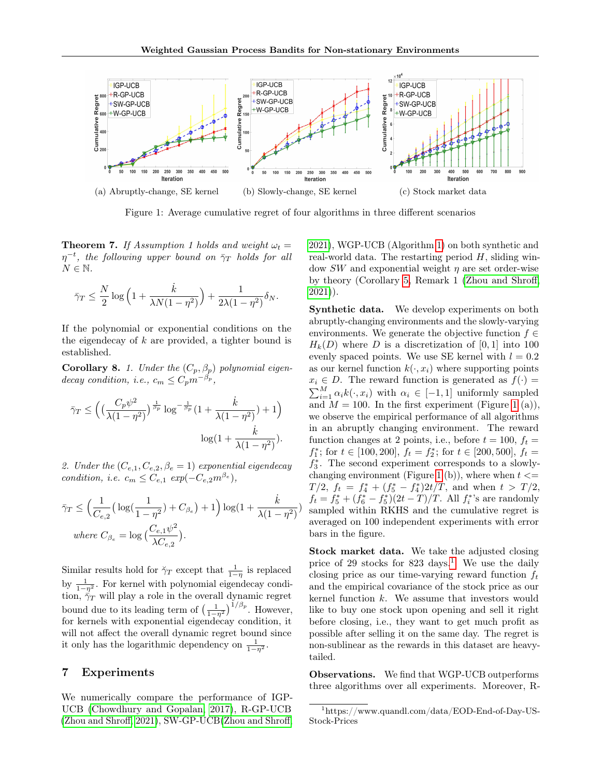<span id="page-7-1"></span>

Figure 1: Average cumulative regret of four algorithms in three different scenarios

<span id="page-7-3"></span>**Theorem 7.** If Assumption 1 holds and weight  $\omega_t =$  $\eta^{-t}$ , the following upper bound on  $\bar{\gamma}_T$  holds for all  $N \in \mathbb{N}$ .

$$
\bar{\gamma}_T \le \frac{N}{2} \log \left( 1 + \frac{\dot{k}}{\lambda N(1 - \eta^2)} \right) + \frac{1}{2\lambda(1 - \eta^2)} \delta_N.
$$

If the polynomial or exponential conditions on the the eigendecay of  $k$  are provided, a tighter bound is established.

<span id="page-7-0"></span>**Corollary 8.** 1. Under the  $(C_p, \beta_p)$  polynomial eigendecay condition, i.e.,  $c_m \leq C_p m^{-\beta_p}$ ,

$$
\bar{\gamma}_T \le \left( \left( \frac{C_p \psi^2}{\lambda (1 - \eta^2)} \right)^{\frac{1}{\beta_p}} \log^{-\frac{1}{\beta_p}} \left( 1 + \frac{\dot{k}}{\lambda (1 - \eta^2)} \right) + 1 \right) \log \left( 1 + \frac{\dot{k}}{\lambda (1 - \eta^2)} \right).
$$

2. Under the  $(C_{e,1}, C_{e,2}, \beta_e = 1)$  exponential eigendecay condition, i.e.  $c_m \leq C_{e,1} \exp(-C_{e,2}m^{\beta_e}),$ 

$$
\bar{\gamma}_T \le \left(\frac{1}{C_{e,2}}\left(\log\left(\frac{1}{1-\eta^2}\right)+C_{\beta_e}\right)+1\right)\log\left(1+\frac{\dot{k}}{\lambda(1-\eta^2)}\right)
$$
  
where  $C_{\beta_e} = \log\left(\frac{C_{e,1}\psi^2}{\lambda C_{e,2}}\right)$ .

Similar results hold for  $\check{\gamma}_T$  except that  $\frac{1}{1-\eta}$  is replaced by  $\frac{1}{1-\eta^2}$ . For kernel with polynomial eigendecay condition,  $\bar{\gamma}_T$  will play a role in the overall dynamic regret bound due to its leading term of  $\left(\frac{1}{1-\eta^2}\right)^{1/\beta_p}$ . However, for kernels with exponential eigendecay condition, it will not affect the overall dynamic regret bound since it only has the logarithmic dependency on  $\frac{1}{1-\eta^2}$ .

### 7 Experiments

We numerically compare the performance of IGP-UCB [\(Chowdhury and Gopalan, 2017\)](#page-8-3), R-GP-UCB [\(Zhou and Shroff, 2021\)](#page-9-10), SW-GP-UCB[\(Zhou and Shroff,](#page-9-10) [2021\)](#page-9-10), WGP-UCB (Algorithm [1\)](#page-4-0) on both synthetic and real-world data. The restarting period  $H$ , sliding window SW and exponential weight  $\eta$  are set order-wise by theory (Corollary [5,](#page-6-1) Remark 1 [\(Zhou and Shroff,](#page-9-10) [2021\)](#page-9-10)).

Synthetic data. We develop experiments on both abruptly-changing environments and the slowly-varying environments. We generate the objective function  $f \in$  $H_k(D)$  where D is a discretization of [0,1] into 100 evenly spaced points. We use SE kernel with  $l = 0.2$ as our kernel function  $k(\cdot, x_i)$  where supporting points  $x_i \in D$ . The reward function is generated as  $f(\cdot)$  =  $\sum_{i=1}^{M} \alpha_i k(\cdot, x_i)$  with  $\alpha_i \in [-1, 1]$  uniformly sampled and  $M = 100$  $M = 100$  $M = 100$ . In the first experiment (Figure 1 (a)), we observe the empirical performance of all algorithms in an abruptly changing environment. The reward function changes at 2 points, i.e., before  $t = 100$ ,  $f_t =$  $f_1^*$ ; for  $t \in [100, 200]$ ,  $f_t = f_2^*$ ; for  $t \in [200, 500]$ ,  $f_t =$  $f_3^*$ . The second experiment corresponds to a slowly-changing environment (Figure [1](#page-7-1) (b)), where when  $t \leq$  $T/2$ ,  $f_t = f_4^* + (f_5^* - f_4^*)2t/T$ , and when  $t > T/2$ ,  $f_t = f_5^* + (f_6^* - f_5^*)(2t - T)/T$ . All  $f_i^*$ 's are randomly sampled within RKHS and the cumulative regret is averaged on 100 independent experiments with error bars in the figure.

Stock market data. We take the adjusted closing price of 29 stocks for  $823 \text{ days}$ .<sup>[1](#page-7-2)</sup> We use the daily closing price as our time-varying reward function  $f_t$ and the empirical covariance of the stock price as our kernel function  $k$ . We assume that investors would like to buy one stock upon opening and sell it right before closing, i.e., they want to get much profit as possible after selling it on the same day. The regret is non-sublinear as the rewards in this dataset are heavytailed.

Observations. We find that WGP-UCB outperforms three algorithms over all experiments. Moreover, R-

<span id="page-7-2"></span><sup>1</sup>https://www.quandl.com/data/EOD-End-of-Day-US-Stock-Prices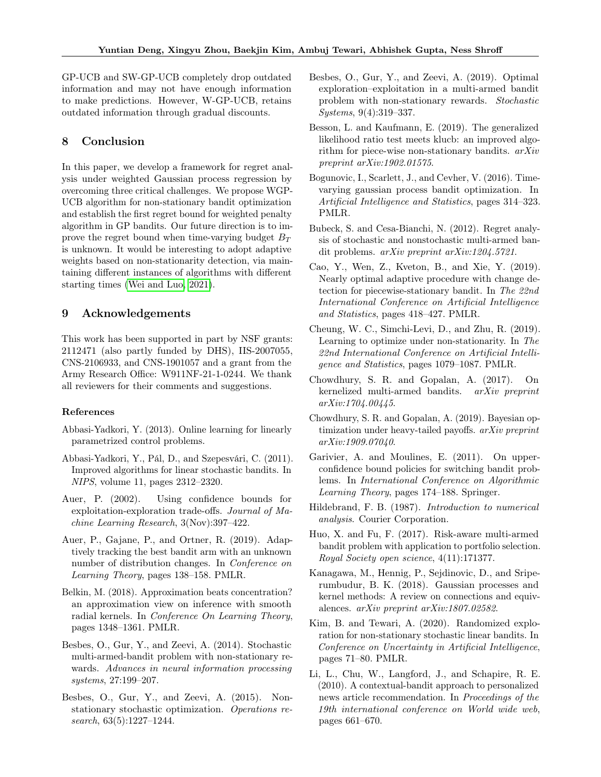GP-UCB and SW-GP-UCB completely drop outdated information and may not have enough information to make predictions. However, W-GP-UCB, retains outdated information through gradual discounts.

# 8 Conclusion

In this paper, we develop a framework for regret analysis under weighted Gaussian process regression by overcoming three critical challenges. We propose WGP-UCB algorithm for non-stationary bandit optimization and establish the first regret bound for weighted penalty algorithm in GP bandits. Our future direction is to improve the regret bound when time-varying budget  $B_T$ is unknown. It would be interesting to adopt adaptive weights based on non-stationarity detection, via maintaining different instances of algorithms with different starting times [\(Wei and Luo, 2021\)](#page-9-8).

# 9 Acknowledgements

This work has been supported in part by NSF grants: 2112471 (also partly funded by DHS), IIS-2007055, CNS-2106933, and CNS-1901057 and a grant from the Army Research Office: W911NF-21-1-0244. We thank all reviewers for their comments and suggestions.

#### References

- <span id="page-8-17"></span>Abbasi-Yadkori, Y. (2013). Online learning for linearly parametrized control problems.
- <span id="page-8-2"></span>Abbasi-Yadkori, Y., Pál, D., and Szepesvári, C. (2011). Improved algorithms for linear stochastic bandits. In NIPS, volume 11, pages 2312–2320.
- <span id="page-8-1"></span>Auer, P. (2002). Using confidence bounds for exploitation-exploration trade-offs. Journal of Machine Learning Research, 3(Nov):397–422.
- <span id="page-8-11"></span>Auer, P., Gajane, P., and Ortner, R. (2019). Adaptively tracking the best bandit arm with an unknown number of distribution changes. In Conference on Learning Theory, pages 138–158. PMLR.
- <span id="page-8-20"></span>Belkin, M. (2018). Approximation beats concentration? an approximation view on inference with smooth radial kernels. In Conference On Learning Theory, pages 1348–1361. PMLR.
- <span id="page-8-6"></span>Besbes, O., Gur, Y., and Zeevi, A. (2014). Stochastic multi-armed-bandit problem with non-stationary rewards. Advances in neural information processing systems, 27:199–207.
- <span id="page-8-14"></span>Besbes, O., Gur, Y., and Zeevi, A. (2015). Nonstationary stochastic optimization. Operations research, 63(5):1227–1244.
- <span id="page-8-15"></span>Besbes, O., Gur, Y., and Zeevi, A. (2019). Optimal exploration–exploitation in a multi-armed bandit problem with non-stationary rewards. Stochastic Systems, 9(4):319–337.
- <span id="page-8-9"></span>Besson, L. and Kaufmann, E. (2019). The generalized likelihood ratio test meets klucb: an improved algorithm for piece-wise non-stationary bandits. arXiv preprint arXiv:1902.01575.
- <span id="page-8-8"></span>Bogunovic, I., Scarlett, J., and Cevher, V. (2016). Timevarying gaussian process bandit optimization. In Artificial Intelligence and Statistics, pages 314–323. PMLR.
- <span id="page-8-0"></span>Bubeck, S. and Cesa-Bianchi, N. (2012). Regret analysis of stochastic and nonstochastic multi-armed bandit problems. arXiv preprint arXiv:1204.5721.
- <span id="page-8-13"></span>Cao, Y., Wen, Z., Kveton, B., and Xie, Y. (2019). Nearly optimal adaptive procedure with change detection for piecewise-stationary bandit. In The 22nd International Conference on Artificial Intelligence and Statistics, pages 418–427. PMLR.
- <span id="page-8-10"></span>Cheung, W. C., Simchi-Levi, D., and Zhu, R. (2019). Learning to optimize under non-stationarity. In The 22nd International Conference on Artificial Intelligence and Statistics, pages 1079–1087. PMLR.
- <span id="page-8-3"></span>Chowdhury, S. R. and Gopalan, A. (2017). On kernelized multi-armed bandits. arXiv preprint arXiv:1704.00445.
- <span id="page-8-19"></span>Chowdhury, S. R. and Gopalan, A. (2019). Bayesian optimization under heavy-tailed payoffs. arXiv preprint arXiv:1909.07040.
- <span id="page-8-12"></span>Garivier, A. and Moulines, E. (2011). On upperconfidence bound policies for switching bandit problems. In International Conference on Algorithmic Learning Theory, pages 174–188. Springer.
- <span id="page-8-18"></span>Hildebrand, F. B. (1987). Introduction to numerical analysis. Courier Corporation.
- <span id="page-8-5"></span>Huo, X. and Fu, F. (2017). Risk-aware multi-armed bandit problem with application to portfolio selection. Royal Society open science, 4(11):171377.
- <span id="page-8-16"></span>Kanagawa, M., Hennig, P., Sejdinovic, D., and Sriperumbudur, B. K. (2018). Gaussian processes and kernel methods: A review on connections and equivalences. arXiv preprint arXiv:1807.02582.
- <span id="page-8-7"></span>Kim, B. and Tewari, A. (2020). Randomized exploration for non-stationary stochastic linear bandits. In Conference on Uncertainty in Artificial Intelligence, pages 71–80. PMLR.
- <span id="page-8-4"></span>Li, L., Chu, W., Langford, J., and Schapire, R. E. (2010). A contextual-bandit approach to personalized news article recommendation. In Proceedings of the 19th international conference on World wide web, pages 661–670.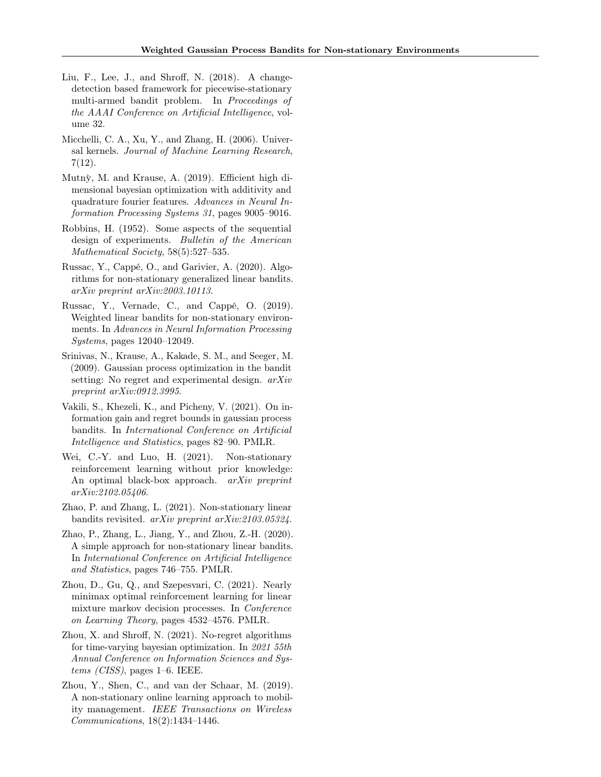- <span id="page-9-2"></span>Liu, F., Lee, J., and Shroff, N. (2018). A changedetection based framework for piecewise-stationary multi-armed bandit problem. In Proceedings of the AAAI Conference on Artificial Intelligence, volume 32.
- <span id="page-9-7"></span>Micchelli, C. A., Xu, Y., and Zhang, H. (2006). Universal kernels. Journal of Machine Learning Research, 7(12).
- <span id="page-9-12"></span>Mutn`y, M. and Krause, A. (2019). Efficient high dimensional bayesian optimization with additivity and quadrature fourier features. Advances in Neural Information Processing Systems 31, pages 9005–9016.
- <span id="page-9-0"></span>Robbins, H. (1952). Some aspects of the sequential design of experiments. Bulletin of the American Mathematical Society, 58(5):527-535.
- <span id="page-9-6"></span>Russac, Y., Cappé, O., and Garivier, A. (2020). Algorithms for non-stationary generalized linear bandits. arXiv preprint arXiv:2003.10113.
- <span id="page-9-5"></span>Russac, Y., Vernade, C., and Cappé, O. (2019). Weighted linear bandits for non-stationary environments. In Advances in Neural Information Processing Systems, pages 12040–12049.
- <span id="page-9-1"></span>Srinivas, N., Krause, A., Kakade, S. M., and Seeger, M. (2009). Gaussian process optimization in the bandit setting: No regret and experimental design. arXiv preprint arXiv:0912.3995.
- <span id="page-9-13"></span>Vakili, S., Khezeli, K., and Picheny, V. (2021). On information gain and regret bounds in gaussian process bandits. In International Conference on Artificial Intelligence and Statistics, pages 82–90. PMLR.
- <span id="page-9-8"></span>Wei, C.-Y. and Luo, H. (2021). Non-stationary reinforcement learning without prior knowledge: An optimal black-box approach. arXiv preprint arXiv:2102.05406.
- <span id="page-9-9"></span>Zhao, P. and Zhang, L. (2021). Non-stationary linear bandits revisited. arXiv preprint arXiv:2103.05324.
- <span id="page-9-4"></span>Zhao, P., Zhang, L., Jiang, Y., and Zhou, Z.-H. (2020). A simple approach for non-stationary linear bandits. In International Conference on Artificial Intelligence and Statistics, pages 746–755. PMLR.
- <span id="page-9-11"></span>Zhou, D., Gu, Q., and Szepesvari, C. (2021). Nearly minimax optimal reinforcement learning for linear mixture markov decision processes. In Conference on Learning Theory, pages 4532–4576. PMLR.
- <span id="page-9-10"></span>Zhou, X. and Shroff, N. (2021). No-regret algorithms for time-varying bayesian optimization. In 2021 55th Annual Conference on Information Sciences and Systems (CISS), pages 1–6. IEEE.
- <span id="page-9-3"></span>Zhou, Y., Shen, C., and van der Schaar, M. (2019). A non-stationary online learning approach to mobility management. IEEE Transactions on Wireless Communications, 18(2):1434–1446.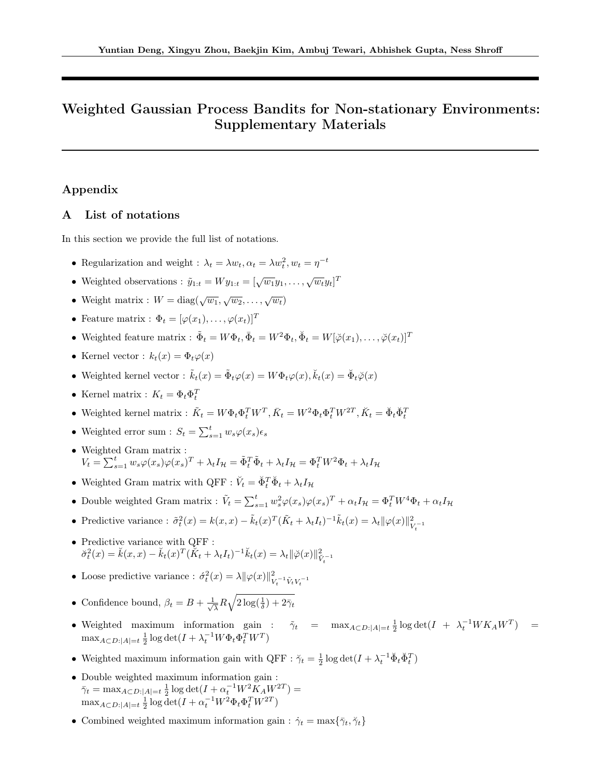# Weighted Gaussian Process Bandits for Non-stationary Environments: Supplementary Materials

# Appendix

# <span id="page-10-0"></span>A List of notations

In this section we provide the full list of notations.

- Regularization and weight :  $\lambda_t = \lambda w_t, \alpha_t = \lambda w_t^2, w_t = \eta^{-t}$
- Weighted observations :  $\tilde{y}_{1:t} = Wy_{1:t} = [\sqrt{w_1}y_1, \dots, \sqrt{w_t}y_t]^T$
- Weight matrix :  $W = \text{diag}(\sqrt{w_1}, \sqrt{w_2}, \dots, \sqrt{w_t})$
- Feature matrix :  $\Phi_t = [\varphi(x_1), \ldots, \varphi(x_t)]^T$
- Weighted feature matrix :  $\tilde{\Phi}_t = W \Phi_t$ ,  $\bar{\Phi}_t = W^2 \Phi_t$ ,  $\breve{\Phi}_t = W[\breve{\varphi}(x_1), \dots, \breve{\varphi}(x_t)]^T$
- Kernel vector :  $k_t(x) = \Phi_t \varphi(x)$
- Weighted kernel vector :  $\tilde{k}_t(x) = \tilde{\Phi}_t \varphi(x) = W \Phi_t \varphi(x), \tilde{k}_t(x) = \breve{\Phi}_t \breve{\varphi}(x)$
- Kernel matrix :  $K_t = \Phi_t \Phi_t^T$
- Weighted kernel matrix :  $\tilde{K}_t = W \Phi_t \Phi_t^T W^T, \bar{K}_t = W^2 \Phi_t \Phi_t^T W^{2T}, \breve{K}_t = \breve{\Phi}_t \breve{\Phi}_t^T$
- Weighted error sum :  $S_t = \sum_{s=1}^t w_s \varphi(x_s) \epsilon_s$
- Weighted Gram matrix :  $V_t = \sum_{s=1}^t w_s \varphi(x_s) \varphi(x_s)^T + \lambda_t I_{\mathcal{H}} = \tilde{\Phi}_t^T \tilde{\Phi}_t + \lambda_t I_{\mathcal{H}} = \Phi_t^T W^2 \Phi_t + \lambda_t I_{\mathcal{H}}$
- Weighted Gram matrix with QFF :  $\check{V}_t = \check{\Phi}_t^T \check{\Phi}_t + \lambda_t I_{\mathcal{H}}$
- Double weighted Gram matrix :  $\tilde{V}_t = \sum_{s=1}^t w_s^2 \varphi(x_s) \varphi(x_s)^T + \alpha_t I_H = \Phi_t^T W^4 \Phi_t + \alpha_t I_H$
- Predictive variance :  $\tilde{\sigma}_t^2(x) = k(x, x) \tilde{k}_t(x)^T (\tilde{K}_t + \lambda_t I_t)^{-1} \tilde{k}_t(x) = \lambda_t ||\varphi(x)||_v^2$  $V_t^{-1}$
- Predictive variance with QFF :  $\breve{\sigma}_t^2(x) = \breve{k}(x, x) - \breve{k}_t(x)^T (\breve{K}_t + \lambda_t I_t)^{-1} \breve{k}_t(x) = \lambda_t ||\breve{\varphi}(x)||_{\breve{V}_t^{-1}}^2$
- Loose predictive variance :  $\dot{\sigma}_t^2(x) = \lambda \|\varphi(x)\|_{V}^2$  $V_t^{-1} \tilde{V}_t V_t^{-1}$
- Confidence bound,  $\beta_t = B + \frac{1}{\sqrt{2}}$  $\frac{1}{\lambda}R\sqrt{2\log(\frac{1}{\delta})+2\bar{\gamma}_t}$
- Weighted maximum information gain :  $\tilde{\gamma}_t$  =  $\max_{A \subset D: |A|=t} \frac{1}{2} \log \det(I + \lambda_t^{-1} W K_A W^T)$  =  $\max_{A \subset D: |A|=t} \frac{1}{2} \log \det(I + \lambda_t^{-1} W \Phi_t \Phi_t^T W^T)$
- Weighted maximum information gain with QFF :  $\breve{\gamma}_t = \frac{1}{2} \log \det(I + \lambda_t^{-1} \breve{\Phi}_t \breve{\Phi}_t^T)$
- Double weighted maximum information gain :  $\bar{\gamma}_t = \max_{A \subset D: |A|=t} \frac{1}{2} \log \det(I + \alpha_t^{-1} W^2 K_A W^{2T}) =$  $\max_{A \subset D: |A|=t} \frac{1}{2} \log \det(I + \alpha_t^{-1} W^2 \Phi_t \Phi_t^T W^{2T})$
- Combined weighted maximum information gain :  $\dot{\gamma}_t = \max\{\bar{\gamma}_t, \breve{\gamma}_t\}$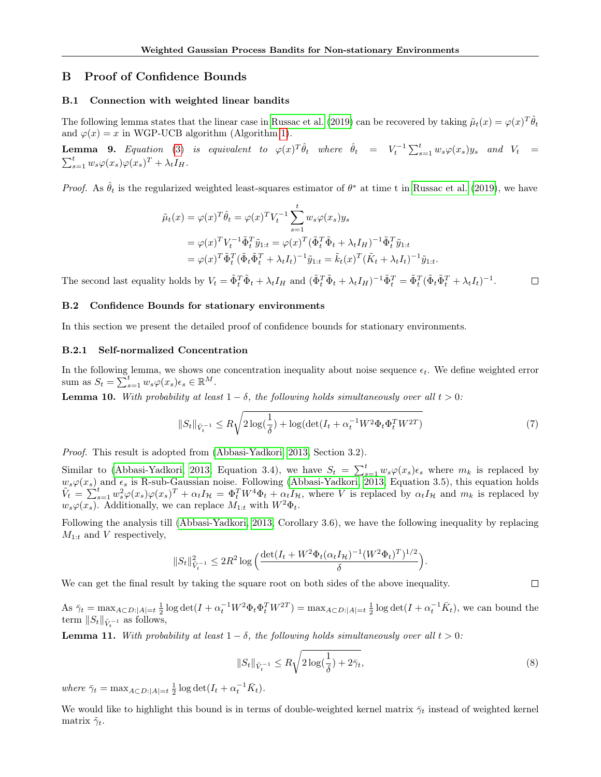# B Proof of Confidence Bounds

#### <span id="page-11-0"></span>B.1 Connection with weighted linear bandits

The following lemma states that the linear case in [Russac et al. \(2019\)](#page-9-5) can be recovered by taking  $\tilde{\mu}_t(x) = \varphi(x)^T \hat{\theta}_t$ and  $\varphi(x) = x$  in WGP-UCB algorithm (Algorithm [1\)](#page-4-0).

<span id="page-11-1"></span>**Lemma 9.** Equation [\(3\)](#page-3-2) is equivalent to  $\varphi(x)^T \hat{\theta}_t$  where  $\hat{\theta}_t = V_t^{-1} \sum_{s=1}^t w_s \varphi(x_s) y_s$  and  $V_t =$  $\sum_{s=1}^t w_s \varphi(x_s) \varphi(x_s)^T + \lambda_t I_H.$ 

*Proof.* As  $\hat{\theta}_t$  is the regularized weighted least-squares estimator of  $\theta^*$  at time t in [Russac et al. \(2019\)](#page-9-5), we have

$$
\tilde{\mu}_t(x) = \varphi(x)^T \hat{\theta}_t = \varphi(x)^T V_t^{-1} \sum_{s=1}^t w_s \varphi(x_s) y_s \n= \varphi(x)^T V_t^{-1} \tilde{\Phi}_t^T \tilde{y}_{1:t} = \varphi(x)^T (\tilde{\Phi}_t^T \tilde{\Phi}_t + \lambda_t I_H)^{-1} \tilde{\Phi}_t^T \tilde{y}_{1:t} \n= \varphi(x)^T \tilde{\Phi}_t^T (\tilde{\Phi}_t \tilde{\Phi}_t^T + \lambda_t I_t)^{-1} \tilde{y}_{1:t} = \tilde{k}_t(x)^T (\tilde{K}_t + \lambda_t I_t)^{-1} \tilde{y}_{1:t}.
$$

The second last equality holds by  $V_t = \tilde{\Phi}_t^T \tilde{\Phi}_t + \lambda_t I_H$  and  $(\tilde{\Phi}_t^T \tilde{\Phi}_t + \lambda_t I_H)^{-1} \tilde{\Phi}_t^T = \tilde{\Phi}_t^T (\tilde{\Phi}_t \tilde{\Phi}_t^T + \lambda_t I_t)^{-1}$ .  $\Box$ 

#### <span id="page-11-2"></span>B.2 Confidence Bounds for stationary environments

In this section we present the detailed proof of confidence bounds for stationary environments.

### B.2.1 Self-normalized Concentration

In the following lemma, we shows one concentration inequality about noise sequence  $\epsilon_t$ . We define weighted error sum as  $S_t = \sum_{s=1}^t w_s \varphi(x_s) \epsilon_s \in \mathbb{R}^M$ .

**Lemma 10.** With probability at least  $1 - \delta$ , the following holds simultaneously over all  $t > 0$ :

$$
||S_t||_{\tilde{V}_t^{-1}} \le R\sqrt{2\log(\frac{1}{\delta}) + \log(\det(I_t + \alpha_t^{-1}W^2\Phi_t\Phi_t^TW^{2T})}
$$
\n(7)

Proof. This result is adopted from [\(Abbasi-Yadkori, 2013,](#page-8-17) Section 3.2).

Similar to [\(Abbasi-Yadkori, 2013,](#page-8-17) Equation 3.4), we have  $S_t = \sum_{s=1}^t w_s \varphi(x_s) \epsilon_s$  where  $m_k$  is replaced by  $w_s\varphi(x_s)$  and  $\epsilon_s$  is R-sub-Gaussian noise. Following [\(Abbasi-Yadkori, 2013,](#page-8-17) Equation 3.5), this equation holds  $\tilde{V}_t = \sum_{s=1}^t w_s^2 \varphi(x_s) \varphi(x_s)^T + \alpha_t I_{\mathcal{H}} = \Phi_t^T W^4 \Phi_t + \alpha_t I_{\mathcal{H}}$ , where V is replaced by  $\alpha_t I_{\mathcal{H}}$  and  $m_k$  is replaced by  $w_s\varphi(x_s)$ . Additionally, we can replace  $M_{1:t}$  with  $W^2\Phi_t$ .

Following the analysis till [\(Abbasi-Yadkori, 2013,](#page-8-17) Corollary 3.6), we have the following inequality by replacing  $M_{1:t}$  and V respectively,

$$
||S_t||_{\tilde{V}_t^{-1}}^2 \leq 2R^2 \log \left( \frac{\det(I_t + W^2 \Phi_t(\alpha_t I_{\mathcal{H}})^{-1} (W^2 \Phi_t)^T)^{1/2}}{\delta} \right).
$$

We can get the final result by taking the square root on both sides of the above inequality.

As  $\bar{\gamma}_t = \max_{A \subset D: |A|=t} \frac{1}{2} \log \det(I + \alpha_t^{-1} W^2 \Phi_t \Phi_t^T W^{2T}) = \max_{A \subset D: |A|=t} \frac{1}{2} \log \det(I + \alpha_t^{-1} \bar{K}_t)$ , we can bound the term  $||S_t||_{\tilde{V}_t^{-1}}$  as follows,

**Lemma 11.** With probability at least  $1 - \delta$ , the following holds simultaneously over all  $t > 0$ :

$$
||S_t||_{\tilde{V}_t^{-1}} \le R\sqrt{2\log(\frac{1}{\delta}) + 2\bar{\gamma}_t},\tag{8}
$$

 $\Box$ 

where  $\bar{\gamma}_t = \max_{A \subset D: |A|=t} \frac{1}{2} \log \det(I_t + \alpha_t^{-1} \bar{K}_t).$ 

We would like to highlight this bound is in terms of double-weighted kernel matrix  $\bar{\gamma}_t$  instead of weighted kernel matrix  $\tilde{\gamma}_t$ .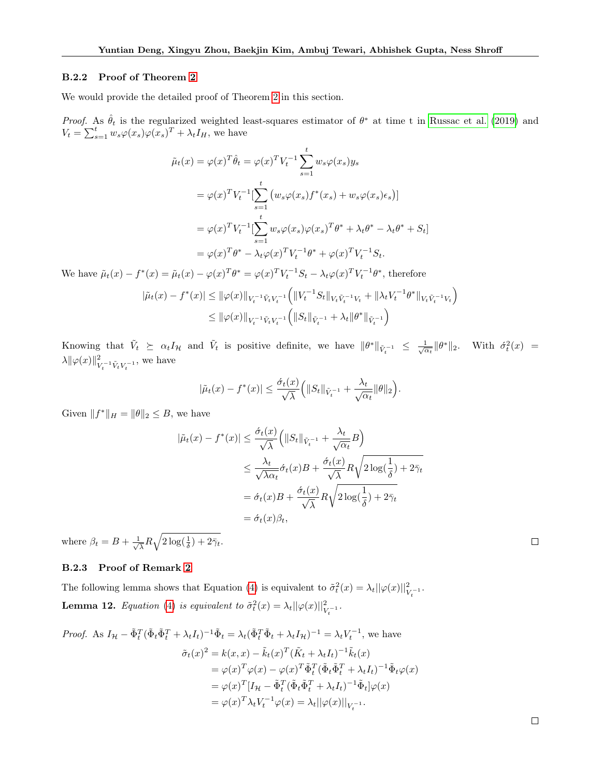#### B.2.2 Proof of Theorem [2](#page-4-2)

We would provide the detailed proof of Theorem [2](#page-4-2) in this section.

*Proof.* As  $\hat{\theta}_t$  is the regularized weighted least-squares estimator of  $\theta^*$  at time t in [Russac et al. \(2019\)](#page-9-5) and  $V_t = \sum_{s=1}^t w_s \varphi(x_s) \varphi(x_s)^T + \lambda_t I_H$ , we have

$$
\tilde{\mu}_t(x) = \varphi(x)^T \hat{\theta}_t = \varphi(x)^T V_t^{-1} \sum_{s=1}^t w_s \varphi(x_s) y_s
$$
  
\n
$$
= \varphi(x)^T V_t^{-1} \left[ \sum_{s=1}^t (w_s \varphi(x_s) f^*(x_s) + w_s \varphi(x_s) \epsilon_s) \right]
$$
  
\n
$$
= \varphi(x)^T V_t^{-1} \left[ \sum_{s=1}^t w_s \varphi(x_s) \varphi(x_s)^T \theta^* + \lambda_t \theta^* - \lambda_t \theta^* + S_t \right]
$$
  
\n
$$
= \varphi(x)^T \theta^* - \lambda_t \varphi(x)^T V_t^{-1} \theta^* + \varphi(x)^T V_t^{-1} S_t.
$$

We have  $\tilde{\mu}_t(x) - f^*(x) = \tilde{\mu}_t(x) - \varphi(x)^T \theta^* = \varphi(x)^T V_t^{-1} S_t - \lambda_t \varphi(x)^T V_t^{-1} \theta^*$ , therefore

$$
|\tilde{\mu}_t(x) - f^*(x)| \le ||\varphi(x)||_{V_t^{-1}\tilde{V}_tV_t^{-1}} \Big( ||V_t^{-1}S_t||_{V_t\tilde{V}_t^{-1}V_t} + ||\lambda_tV_t^{-1}\theta^*||_{V_t\tilde{V}_t^{-1}V_t} \Big)
$$
  

$$
\le ||\varphi(x)||_{V_t^{-1}\tilde{V}_tV_t^{-1}} \Big( ||S_t||_{\tilde{V}_t^{-1}} + \lambda_t ||\theta^*||_{\tilde{V}_t^{-1}} \Big)
$$

Knowing that  $\tilde{V}_t \geq \alpha_t I_{\mathcal{H}}$  and  $\tilde{V}_t$  is positive definite, we have  $\|\theta^*\|_{\tilde{V}_t^{-1}} \leq \frac{1}{\sqrt{\alpha_t}} \|\theta^*\|_2$ . With  $\sigma_t^2(x) =$  $\lambda \|\varphi(x)\|_{\mathcal{F}}^2$  $\frac{2}{V_t^{-1}\tilde{V}_tV_t^{-1}},$  we have

$$
|\tilde{\mu}_t(x) - f^*(x)| \leq \frac{\dot{\sigma}_t(x)}{\sqrt{\lambda}} \Big( \|S_t\|_{\tilde{V}_t^{-1}} + \frac{\lambda_t}{\sqrt{\alpha_t}} \|\theta\|_2 \Big).
$$

Given  $||f^*||_H = ||\theta||_2 \leq B$ , we have

$$
|\tilde{\mu}_t(x) - f^*(x)| \le \frac{\tilde{\sigma}_t(x)}{\sqrt{\lambda}} \Big( \|S_t\|_{\tilde{V}_t^{-1}} + \frac{\lambda_t}{\sqrt{\alpha_t}} B \Big)
$$
  

$$
\le \frac{\lambda_t}{\sqrt{\lambda \alpha_t}} \tilde{\sigma}_t(x) B + \frac{\tilde{\sigma}_t(x)}{\sqrt{\lambda}} R \sqrt{2 \log(\frac{1}{\delta}) + 2\tilde{\gamma}_t}
$$
  

$$
= \tilde{\sigma}_t(x) B + \frac{\tilde{\sigma}_t(x)}{\sqrt{\lambda}} R \sqrt{2 \log(\frac{1}{\delta}) + 2\tilde{\gamma}_t}
$$
  

$$
= \tilde{\sigma}_t(x) \beta_t,
$$

where  $\beta_t = B + \frac{1}{\sqrt{2}}$  $\frac{1}{\lambda}R\sqrt{2\log(\frac{1}{\delta})+2\bar{\gamma}_t}.$ 

# <span id="page-12-0"></span>B.2.3 Proof of Remark [2](#page-4-4)

<span id="page-12-1"></span>The following lemma shows that Equation [\(4\)](#page-3-3) is equivalent to  $\tilde{\sigma}_t^2(x) = \lambda_t ||\varphi(x)||_{V_t^{-1}}^2$ . **Lemma 12.** Equation [\(4\)](#page-3-3) is equivalent to  $\tilde{\sigma}_t^2(x) = \lambda_t ||\varphi(x)||_{V_t^{-1}}^2$ .

Proof. As 
$$
I_H - \tilde{\Phi}_t^T (\tilde{\Phi}_t \tilde{\Phi}_t^T + \lambda_t I_t)^{-1} \tilde{\Phi}_t = \lambda_t (\tilde{\Phi}_t^T \tilde{\Phi}_t + \lambda_t I_H)^{-1} = \lambda_t V_t^{-1}
$$
, we have  
\n
$$
\tilde{\sigma}_t(x)^2 = k(x, x) - \tilde{k}_t(x)^T (\tilde{K}_t + \lambda_t I_t)^{-1} \tilde{k}_t(x)
$$
\n
$$
= \varphi(x)^T \varphi(x) - \varphi(x)^T \tilde{\Phi}_t^T (\tilde{\Phi}_t \tilde{\Phi}_t^T + \lambda_t I_t)^{-1} \tilde{\Phi}_t \varphi(x)
$$
\n
$$
= \varphi(x)^T [I_H - \tilde{\Phi}_t^T (\tilde{\Phi}_t \tilde{\Phi}_t^T + \lambda_t I_t)^{-1} \tilde{\Phi}_t] \varphi(x)
$$
\n
$$
= \varphi(x)^T \lambda_t V_t^{-1} \varphi(x) = \lambda_t ||\varphi(x)||_{V_t^{-1}}.
$$

 $\Box$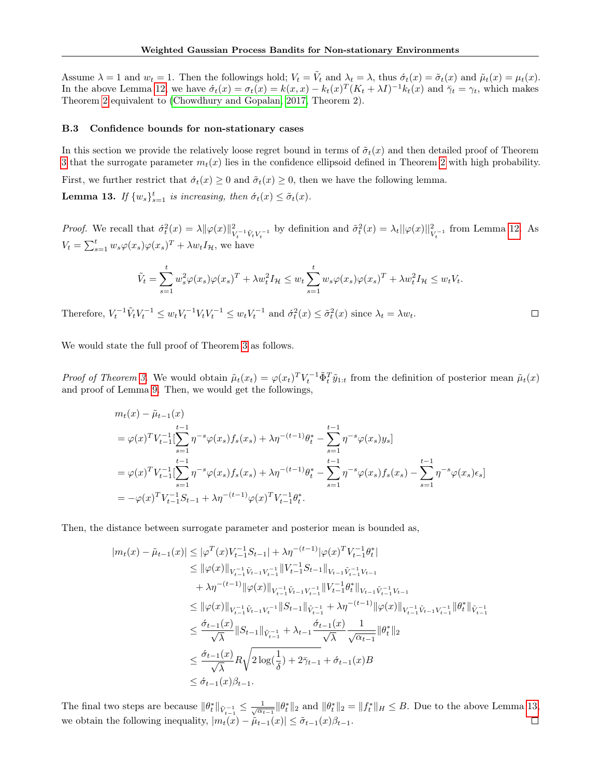Assume  $\lambda = 1$  and  $w_t = 1$ . Then the followings hold;  $V_t = \tilde{V}_t$  and  $\lambda_t = \lambda$ , thus  $\dot{\sigma}_t(x) = \tilde{\sigma}_t(x)$  and  $\tilde{\mu}_t(x) = \mu_t(x)$ . In the above Lemma [12,](#page-12-1) we have  $\acute{\sigma}_t(x) = \sigma_t(x) = k(x, x) - k_t(x)^T (K_t + \lambda I)^{-1} k_t(x)$  and  $\bar{\gamma}_t = \gamma_t$ , which makes Theorem [2](#page-4-2) equivalent to [\(Chowdhury and Gopalan, 2017,](#page-8-3) Theorem 2).

#### <span id="page-13-0"></span>B.3 Confidence bounds for non-stationary cases

In this section we provide the relatively loose regret bound in terms of  $\tilde{\sigma}_t(x)$  and then detailed proof of Theorem [3](#page-5-1) that the surrogate parameter  $m_t(x)$  lies in the confidence ellipsoid defined in Theorem [2](#page-4-2) with high probability. First, we further restrict that  $\dot{\sigma}_t(x) \geq 0$  and  $\tilde{\sigma}_t(x) \geq 0$ , then we have the following lemma. **Lemma 13.** If  $\{w_s\}_{s=1}^t$  is increasing, then  $\acute{\sigma}_t(x) \leq \tilde{\sigma}_t(x)$ .

<span id="page-13-1"></span>*Proof.* We recall that  $\hat{\sigma}_t^2(x) = \lambda \|\varphi(x)\|_{V}^2$  $\mathcal{L}_{V_t^{-1}\tilde{V}_tV_t^{-1}}^{2}$  by definition and  $\tilde{\sigma}_t^2(x) = \lambda_t ||\varphi(x)||_{V_t^{-1}}^2$  from Lemma [12.](#page-12-1) As  $V_t = \sum_{s=1}^t w_s \varphi(x_s) \varphi(x_s)^T + \lambda w_t I_{\mathcal{H}}$ , we have

$$
\tilde{V}_t = \sum_{s=1}^t w_s^2 \varphi(x_s) \varphi(x_s)^T + \lambda w_t^2 I_\mathcal{H} \le w_t \sum_{s=1}^t w_s \varphi(x_s) \varphi(x_s)^T + \lambda w_t^2 I_\mathcal{H} \le w_t V_t.
$$

Therefore,  $V_t^{-1} \tilde{V}_t V_t^{-1} \le w_t V_t^{-1} V_t V_t^{-1} \le w_t V_t^{-1}$  and  $\sigma_t^2(x) \le \tilde{\sigma}_t^2(x)$  since  $\lambda_t = \lambda w_t$ .  $\Box$ 

We would state the full proof of Theorem [3](#page-5-1) as follows.

*Proof of Theorem [3.](#page-5-1)* We would obtain  $\tilde{\mu}_t(x_t) = \varphi(x_t)^T V_t^{-1} \tilde{\Phi}_t^T \tilde{y}_{1:t}$  from the definition of posterior mean  $\tilde{\mu}_t(x)$ and proof of Lemma [9.](#page-11-1) Then, we would get the followings,

$$
m_t(x) - \tilde{\mu}_{t-1}(x)
$$
  
\n
$$
= \varphi(x)^T V_{t-1}^{-1} \left[ \sum_{s=1}^{t-1} \eta^{-s} \varphi(x_s) f_s(x_s) + \lambda \eta^{-(t-1)} \theta_t^* - \sum_{s=1}^{t-1} \eta^{-s} \varphi(x_s) y_s \right]
$$
  
\n
$$
= \varphi(x)^T V_{t-1}^{-1} \left[ \sum_{s=1}^{t-1} \eta^{-s} \varphi(x_s) f_s(x_s) + \lambda \eta^{-(t-1)} \theta_t^* - \sum_{s=1}^{t-1} \eta^{-s} \varphi(x_s) f_s(x_s) - \sum_{s=1}^{t-1} \eta^{-s} \varphi(x_s) \epsilon_s \right]
$$
  
\n
$$
= -\varphi(x)^T V_{t-1}^{-1} S_{t-1} + \lambda \eta^{-(t-1)} \varphi(x)^T V_{t-1}^{-1} \theta_t^*.
$$

Then, the distance between surrogate parameter and posterior mean is bounded as,

$$
\begin{split} |m_t(x)-\tilde{\mu}_{t-1}(x)| &\leq |\varphi^T(x)V_{t-1}^{-1}S_{t-1}| + \lambda \eta^{-(t-1)}|\varphi(x)^TV_{t-1}^{-1}\theta_t^*| \\ &\leq \|\varphi(x)\|_{V_{t-1}^{-1}\tilde{V}_{t-1}V_{t-1}^{-1}}\|V_{t-1}^{-1}S_{t-1}\|_{V_{t-1}\tilde{V}_{t-1}^{-1}V_{t-1}} \\ &\quad + \lambda \eta^{-(t-1)}\|\varphi(x)\|_{V_{t-1}^{-1}\tilde{V}_{t-1}V_{t-1}^{-1}}\|V_{t-1}^{-1}\theta_t^*\|_{V_{t-1}\tilde{V}_{t-1}^{-1}V_{t-1}} \\ &\leq \|\varphi(x)\|_{V_{t-1}^{-1}\tilde{V}_{t-1}V_{t}^{-1}}\|S_{t-1}\|_{\tilde{V}_{t-1}^{-1}} + \lambda \eta^{-(t-1)}\|\varphi(x)\|_{V_{t-1}^{-1}\tilde{V}_{t-1}V_{t-1}^{-1}}\|\theta_t^*\|_{\tilde{V}_{t-1}^{-1}} \\ &\leq \frac{\acute{\sigma}_{t-1}(x)}{\sqrt{\lambda}}\|S_{t-1}\|_{\tilde{V}_{t-1}^{-1}} + \lambda_{t-1} \frac{\acute{\sigma}_{t-1}(x)}{\sqrt{\lambda}} \frac{1}{\sqrt{\alpha_{t-1}}}\|\theta_t^*\|_2 \\ &\leq \frac{\acute{\sigma}_{t-1}(x)}{\sqrt{\lambda}}R\sqrt{2\log(\frac{1}{\delta})+2\bar{\gamma}_{t-1}} + \acute{\sigma}_{t-1}(x)B \\ &\leq \acute{\sigma}_{t-1}(x)\beta_{t-1}. \end{split}
$$

The final two steps are because  $\|\theta_t^*\|_{\tilde{V}_{t-1}^{-1}} \leq \frac{1}{\sqrt{\alpha_{t-1}}} \|\theta_t^*\|_2$  and  $\|\theta_t^*\|_2 = \|f_t^*\|_H \leq B$ . Due to the above Lemma [13,](#page-13-1) we obtain the following inequality,  $|m_t(x) - \tilde{\mu}_{t-1}(x)| \leq \tilde{\sigma}_{t-1}(x)\beta_{t-1}$ .  $\Box$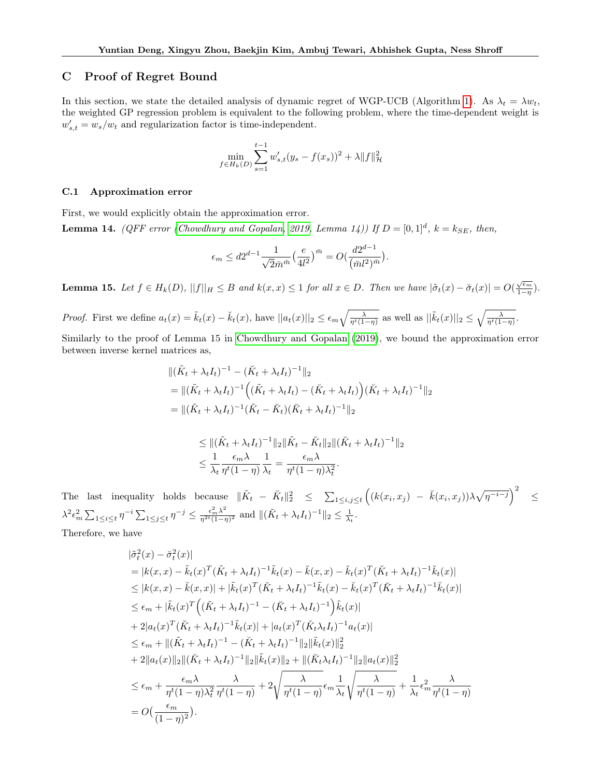# C Proof of Regret Bound

In this section, we state the detailed analysis of dynamic regret of WGP-UCB (Algorithm [1\)](#page-4-0). As  $\lambda_t = \lambda w_t$ , the weighted GP regression problem is equivalent to the following problem, where the time-dependent weight is  $w'_{s,t} = w_s/w_t$  and regularization factor is time-independent.

$$
\min_{f \in H_k(D)} \sum_{s=1}^{t-1} w'_{s,t}(y_s - f(x_s))^2 + \lambda \|f\|_{\mathcal{H}}^2
$$

#### <span id="page-14-0"></span>C.1 Approximation error

First, we would explicitly obtain the approximation error. **Lemma 14.** (QFF error [\(Chowdhury and Gopalan, 2019,](#page-8-19) Lemma 14)) If  $D = [0,1]^d$ ,  $k = k_{SE}$ , then,

$$
\epsilon_m \leq d 2^{d-1} \frac{1}{\sqrt{2} \bar{m}^{\bar{m}}} \big( \frac{e}{4 l^2} \big)^{\bar{m}} = O \big( \frac{d 2^{d-1}}{(\bar{m} l^2)^{\bar{m}}} \big).
$$

<span id="page-14-1"></span>**Lemma 15.** Let  $f \in H_k(D)$ ,  $||f||_H \leq B$  and  $k(x, x) \leq 1$  for all  $x \in D$ . Then we have  $|\tilde{\sigma}_t(x) - \tilde{\sigma}_t(x)| = O(\frac{\sqrt{\epsilon_m}}{1-n})$  $rac{\sqrt{\epsilon_m}}{1-\eta}).$ 

Proof. First we define  $a_t(x) = \tilde{k}_t(x) - \breve{k}_t(x)$ , have  $||a_t(x)||_2 \leq \epsilon_m \sqrt{\frac{\lambda}{\eta^t(1-\eta)}}$  as well as  $||\tilde{k}_t(x)||_2 \leq \sqrt{\frac{\lambda}{\eta^t(1-\eta)}}$ .

Similarly to the proof of Lemma 15 in [Chowdhury and Gopalan \(2019\)](#page-8-19), we bound the approximation error between inverse kernel matrices as,

$$
\begin{aligned} &\|(\tilde{K}_t + \lambda_t I_t)^{-1} - (\breve{K}_t + \lambda_t I_t)^{-1}\|_2 \\ &= \|(\tilde{K}_t + \lambda_t I_t)^{-1} \Big( (\tilde{K}_t + \lambda_t I_t) - (\breve{K}_t + \lambda_t I_t) \Big) (\breve{K}_t + \lambda_t I_t)^{-1} \|_2 \\ &= \|(\tilde{K}_t + \lambda_t I_t)^{-1} (\tilde{K}_t - \breve{K}_t) (\breve{K}_t + \lambda_t I_t)^{-1} \|_2 \end{aligned}
$$

$$
\leq \|(\tilde{K}_t + \lambda_t I_t)^{-1}\|_2 \|\tilde{K}_t - \tilde{K}_t\|_2 \|(\tilde{K}_t + \lambda_t I_t)^{-1}\|_2
$$
  

$$
\leq \frac{1}{\lambda_t} \frac{\epsilon_m \lambda}{\eta^t (1 - \eta)} \frac{1}{\lambda_t} = \frac{\epsilon_m \lambda}{\eta^t (1 - \eta) \lambda_t^2}.
$$

The last inequality holds because  $\|\tilde{K}_t - \check{K}_t\|_2^2 \leq \sum_{1 \leq i,j \leq t} \left( (k(x_i, x_j) - \check{k}(x_i, x_j)) \lambda \sqrt{\eta^{-i-j}} \right)^2 \leq$  $\lambda^2 \epsilon_m^2 \sum_{1 \leq i \leq t} \eta^{-i} \sum_{1 \leq j \leq t} \eta^{-j} \leq \frac{\epsilon_m^2 \lambda^2}{\eta^{2t}(1-\eta)^2}$  $\frac{\epsilon_m^2 \lambda^2}{\eta^{2t}(1-\eta)^2}$  and  $\|(\tilde{K}_t + \lambda_t I_t)^{-1}\|_2 \leq \frac{1}{\lambda_t}.$ 

Therefore, we have

$$
\begin{split}\n\left|\tilde{\sigma}_{t}^{2}(x)-\tilde{\sigma}_{t}^{2}(x)\right| \\
&=|k(x,x)-\tilde{k}_{t}(x)^{T}(\tilde{K}_{t}+\lambda_{t}I_{t})^{-1}\tilde{k}_{t}(x)-\tilde{k}(x,x)-\tilde{k}_{t}(x)^{T}(\tilde{K}_{t}+\lambda_{t}I_{t})^{-1}\tilde{k}_{t}(x)| \\
&\leq|k(x,x)-\tilde{k}(x,x)|+|\tilde{k}_{t}(x)^{T}(\tilde{K}_{t}+\lambda_{t}I_{t})^{-1}\tilde{k}_{t}(x)-\tilde{k}_{t}(x)^{T}(\tilde{K}_{t}+\lambda_{t}I_{t})^{-1}\tilde{k}_{t}(x)| \\
&\leq\epsilon_{m}+|\tilde{k}_{t}(x)^{T}\Big((\tilde{K}_{t}+\lambda_{t}I_{t})^{-1}-(\tilde{K}_{t}+\lambda_{t}I_{t})^{-1}\Big)\tilde{k}_{t}(x)| \\
&+2|a_{t}(x)^{T}(\tilde{K}_{t}+\lambda_{t}I_{t})^{-1}\tilde{k}_{t}(x)|+|a_{t}(x)^{T}(\tilde{K}_{t}\lambda_{t}I_{t})^{-1}a_{t}(x)| \\
&\leq\epsilon_{m}+\|(\tilde{K}_{t}+\lambda_{t}I_{t})^{-1}-(\tilde{K}_{t}+\lambda_{t}I_{t})^{-1}\|_{2}\|\tilde{k}_{t}(x)\|_{2}^{2} \\
&+2\|a_{t}(x)\|_{2}\|(\tilde{K}_{t}+\lambda_{t}I_{t})^{-1}\|_{2}\|\tilde{k}_{t}(x)\|_{2}+\|(\tilde{K}_{t}\lambda_{t}I_{t})^{-1}\|_{2}\|a_{t}(x)\|_{2}^{2} \\
&\leq\epsilon_{m}+\frac{\epsilon_{m}\lambda}{\eta^{t}(1-\eta)\lambda_{t}^{2}}\frac{\lambda}{\eta^{t}(1-\eta)}+2\sqrt{\frac{\lambda}{\eta^{t}(1-\eta)}}\epsilon_{m}\frac{1}{\lambda_{t}}\sqrt{\frac{\lambda}{\eta^{t}(1-\eta)}}+\frac{1}{\lambda_{t}}\epsilon_{m}^{2}\frac{\lambda}{\eta^{t}(1-\eta)} \\
&=O\Big(\frac{\epsilon_{m}}{(1-\eta)^{2}}\Big). \n\end{split}
$$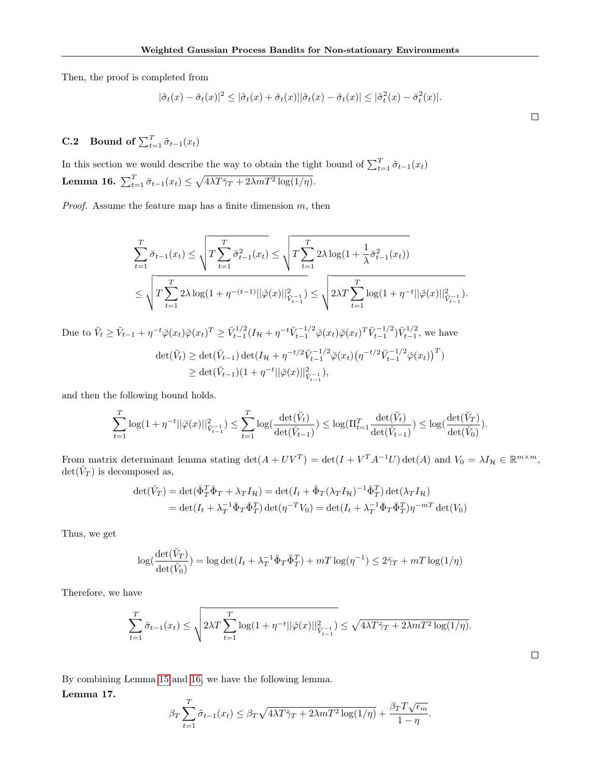Then, the proof is completed from

$$
|\tilde{\sigma}_t(x) - \breve{\sigma}_t(x)|^2 \leq |\tilde{\sigma}_t(x) + \breve{\sigma}_t(x)||\tilde{\sigma}_t(x) - \breve{\sigma}_t(x)| \leq |\tilde{\sigma}_t^2(x) - \breve{\sigma}_t^2(x)|.
$$

<span id="page-15-0"></span>**C.2** Bound of  $\sum_{t=1}^{T} \tilde{\sigma}_{t-1}(x_t)$ 

<span id="page-15-1"></span>In this section we would describe the way to obtain the tight bound of  $\sum_{t=1}^{T} \tilde{\sigma}_{t-1}(x_t)$ Lemma 16.  $\sum_{t=1}^{T} \breve{\sigma}_{t-1}(x_t) \leq \sqrt{4\lambda T \breve{\gamma}_T + 2\lambda m T^2 \log(1/\eta)}.$ 

*Proof.* Assume the feature map has a finite dimension  $m$ , then

$$
\sum_{t=1}^{T} \breve{\sigma}_{t-1}(x_t) \le \sqrt{T \sum_{t=1}^{T} \breve{\sigma}_{t-1}^2(x_t)} \le \sqrt{T \sum_{t=1}^{T} 2\lambda \log(1 + \frac{1}{\lambda} \breve{\sigma}_{t-1}^2(x_t))}
$$
\n
$$
\le \sqrt{T \sum_{t=1}^{T} 2\lambda \log(1 + \eta^{-(t-1)} ||\breve{\varphi}(x)||_{\breve{V}_{t-1}^{-1}}^2)} \le \sqrt{2\lambda T \sum_{t=1}^{T} \log(1 + \eta^{-t} ||\breve{\varphi}(x)||_{\breve{V}_{t-1}^{-1}}^2)}.
$$

Due to  $\check{V}_t \geq \check{V}_{t-1} + \eta^{-t}\check{\varphi}(x_t)\check{\varphi}(x_t)^T \geq \check{V}_{t-1}^{1/2}(I_{\mathcal{H}} + \eta^{-t}\check{V}_{t-1}^{-1/2}\check{\varphi}(x_t)\check{\varphi}(x_t)^T\check{V}_{t-1}^{-1/2})\check{V}_{t-1}^{1/2}$ , we have  $\det(\breve{V}_t) \geq \det(\breve{V}_{t-1}) \det(I_{\mathcal{H}} + \eta^{-t/2} \breve{V}_{t-1}^{-1/2} \breve{\varphi}(x_t) (\eta^{-t/2} \breve{V}_{t-1}^{-1/2} \breve{\varphi}(x_t))^T)$  $\geq \det(\breve{V}_{t-1})(1+\eta^{-t}||\breve{\varphi}(x)||_{\breve{V}_{t-1}^{-1}}^2),$ 

and then the following bound holds.

$$
\sum_{t=1}^T \log (1+\eta^{-t}||\breve{\varphi}(x)||_{\breve{V}_{t-1}^{-1}}^2) \leq \sum_{t=1}^T \log(\frac{\det(\breve{V}_t)}{\det(\breve{V}_{t-1})}) \leq \log(\Pi_{t=1}^T \frac{\det(\breve{V}_t)}{\det(\breve{V}_{t-1})}) \leq \log(\frac{\det(\breve{V}_T)}{\det(\breve{V}_0)}).
$$

From matrix determinant lemma stating  $\det(A + UV^T) = \det(I + V^T A^{-1} U) \det(A)$  and  $V_0 = \lambda I_H \in \mathbb{R}^{m \times m}$ ,  $\det(\breve V_T)$  is decomposed as,

$$
\det(\check{V}_T) = \det(\check{\Phi}_T^T \check{\Phi}_T + \lambda_T I_{\mathcal{H}}) = \det(I_t + \check{\Phi}_T (\lambda_T I_{\mathcal{H}})^{-1} \check{\Phi}_T^T) \det(\lambda_T I_{\mathcal{H}})
$$
  
= 
$$
\det(I_t + \lambda_T^{-1} \check{\Phi}_T \check{\Phi}_T^T) \det(\eta^{-T} V_0) = \det(I_t + \lambda_T^{-1} \check{\Phi}_T \check{\Phi}_T^T) \eta^{-mT} \det(V_0)
$$

Thus, we get

$$
\log(\frac{\det(\breve{V}_T)}{\det(\breve{V}_0)}) = \log \det(I_t + \lambda_T^{-1} \breve{\Phi}_T \breve{\Phi}_T^T) + mT \log(\eta^{-1}) \le 2\breve{\gamma}_T + mT \log(1/\eta)
$$

Therefore, we have

$$
\sum_{t=1}^T \breve{\sigma}_{t-1}(x_t) \leq \sqrt{2\lambda T \sum_{t=1}^T \log(1 + \eta^{-t} ||\breve{\varphi}(x)||_{\breve{V}_{t-1}^{-1}}^2)} \leq \sqrt{4\lambda T \breve{\gamma}_T + 2\lambda m T^2 \log(1/\eta)}.
$$

By combining Lemma [15](#page-14-1) and [16,](#page-15-1) we have the following lemma.

<span id="page-15-2"></span>Lemma 17.

$$
\beta_T \sum_{t=1}^T \tilde{\sigma}_{t-1}(x_t) \leq \beta_T \sqrt{4\lambda T \tilde{\gamma}_T + 2\lambda m T^2 \log(1/\eta)} + \frac{\beta_T T \sqrt{\epsilon_m}}{1 - \eta}.
$$

 $\Box$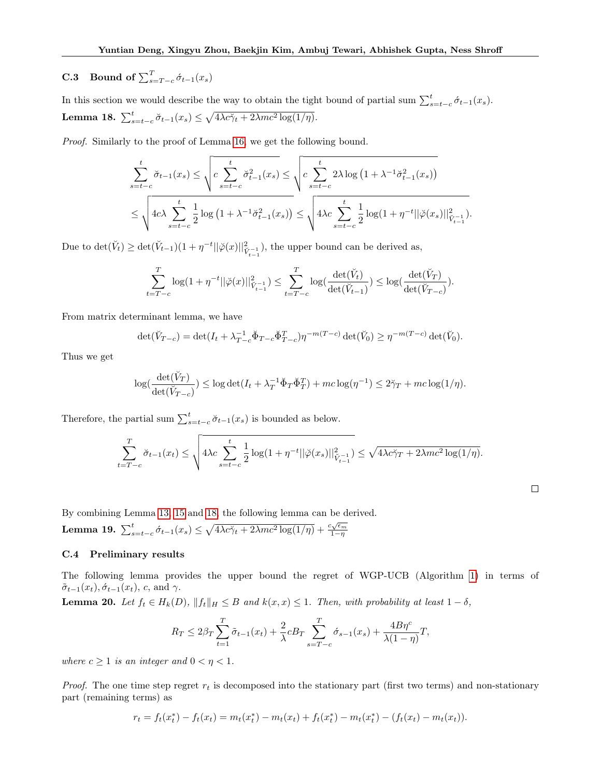# **C.3** Bound of  $\sum_{s=T-c}^{T} \acute{\sigma}_{t-1}(x_s)$

<span id="page-16-0"></span>In this section we would describe the way to obtain the tight bound of partial sum  $\sum_{s=t-c}^{t} \hat{\sigma}_{t-1}(x_s)$ . Lemma 18.  $\sum_{s=t-c}^{t} \breve{\sigma}_{t-1}(x_s) \leq \sqrt{4\lambda c \breve{\gamma}_t + 2\lambda mc^2 \log(1/\eta)}$ .

Proof. Similarly to the proof of Lemma [16,](#page-15-1) we get the following bound.

$$
\sum_{s=t-c}^{t} \breve{\sigma}_{t-1}(x_s) \le \sqrt{c \sum_{s=t-c}^{t} \breve{\sigma}_{t-1}^2(x_s)} \le \sqrt{c \sum_{s=t-c}^{t} 2\lambda \log\left(1 + \lambda^{-1} \breve{\sigma}_{t-1}^2(x_s)\right)}
$$
\n
$$
\le \sqrt{4c\lambda \sum_{s=t-c}^{t} \frac{1}{2} \log\left(1 + \lambda^{-1} \breve{\sigma}_{t-1}^2(x_s)\right)} \le \sqrt{4\lambda c \sum_{s=t-c}^{t} \frac{1}{2} \log(1 + \eta^{-t} ||\breve{\varphi}(x_s)||_{\breve{V}_{t-1}^{-1}}^2)}.
$$

Due to  $\det(\breve{V}_t) \ge \det(\breve{V}_{t-1})(1+\eta^{-t}||\breve{\varphi}(x)||_{\breve{V}_{t-1}}^2)$ , the upper bound can be derived as,

$$
\sum_{t=T-c}^{T} \log(1 + \eta^{-t} ||\breve{\varphi}(x)||_{\breve{V}_{t-1}^{-1}}^2) \le \sum_{t=T-c}^{T} \log(\frac{\det(\breve{V}_t)}{\det(\breve{V}_{t-1})}) \le \log(\frac{\det(\breve{V}_T)}{\det(\breve{V}_{T-c})}).
$$

From matrix determinant lemma, we have

$$
\det(\check{V}_{T-c}) = \det(I_t + \lambda_{T-c}^{-1} \check{\Phi}_{T-c} \check{\Phi}_{T-c}^T) \eta^{-m(T-c)} \det(\check{V}_0) \ge \eta^{-m(T-c)} \det(\check{V}_0).
$$

Thus we get

$$
\log(\frac{\det(\breve{V}_T)}{\det(\breve{V}_{T-c})}) \le \log \det(I_t + \lambda_T^{-1} \breve{\Phi}_T \breve{\Phi}_T^T) + mc \log(\eta^{-1}) \le 2\breve{\gamma}_T + mc \log(1/\eta).
$$

Therefore, the partial sum  $\sum_{s=t-c}^{t} \breve{\sigma}_{t-1}(x_s)$  is bounded as below.

$$
\sum_{t=T-c}^{T} \breve{\sigma}_{t-1}(x_t) \le \sqrt{4\lambda c \sum_{s=t-c}^{t} \frac{1}{2} \log(1 + \eta^{-t} ||\breve{\varphi}(x_s)||_{\breve{V}_{t-1}^{-1}}^2)} \le \sqrt{4\lambda c \breve{\gamma}_T + 2\lambda mc^2 \log(1/\eta)}.
$$

 $\Box$ 

By combining Lemma [13,](#page-13-1) [15](#page-14-1) and [18,](#page-16-0) the following lemma can be derived.

<span id="page-16-1"></span>Lemma 19.  $\sum_{s=t-c}^{t} \acute{\sigma}_{t-1}(x_s) \leq \sqrt{4\lambda c \check{\gamma}_{t} + 2\lambda mc^2 \log(1/\eta)} + \frac{c\sqrt{\epsilon_m}}{1-\eta}$  $1-\eta$ 

#### C.4 Preliminary results

The following lemma provides the upper bound the regret of WGP-UCB (Algorithm [1\)](#page-4-0) in terms of  $\tilde{\sigma}_{t-1}(x_t), \dot{\sigma}_{t-1}(x_t), c$ , and  $\gamma$ .

<span id="page-16-2"></span>**Lemma 20.** Let  $f_t \in H_k(D)$ ,  $||f_t||_H \leq B$  and  $k(x, x) \leq 1$ . Then, with probability at least  $1 - \delta$ ,

$$
R_T \le 2\beta_T \sum_{t=1}^T \tilde{\sigma}_{t-1}(x_t) + \frac{2}{\lambda} c B_T \sum_{s=T-c}^T \tilde{\sigma}_{s-1}(x_s) + \frac{4B\eta^c}{\lambda(1-\eta)}T,
$$

where  $c \geq 1$  is an integer and  $0 < \eta < 1$ .

*Proof.* The one time step regret  $r_t$  is decomposed into the stationary part (first two terms) and non-stationary part (remaining terms) as

$$
r_t = f_t(x_t^*) - f_t(x_t) = m_t(x_t^*) - m_t(x_t) + f_t(x_t^*) - m_t(x_t^*) - (f_t(x_t) - m_t(x_t)).
$$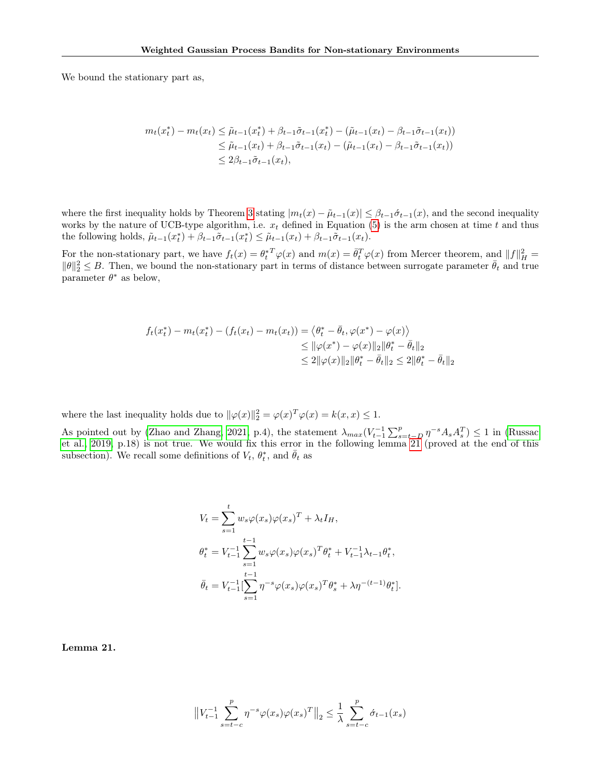We bound the stationary part as,

$$
m_t(x_t^*) - m_t(x_t) \leq \tilde{\mu}_{t-1}(x_t^*) + \beta_{t-1}\tilde{\sigma}_{t-1}(x_t^*) - (\tilde{\mu}_{t-1}(x_t) - \beta_{t-1}\tilde{\sigma}_{t-1}(x_t))
$$
  

$$
\leq \tilde{\mu}_{t-1}(x_t) + \beta_{t-1}\tilde{\sigma}_{t-1}(x_t) - (\tilde{\mu}_{t-1}(x_t) - \beta_{t-1}\tilde{\sigma}_{t-1}(x_t))
$$
  

$$
\leq 2\beta_{t-1}\tilde{\sigma}_{t-1}(x_t),
$$

where the first inequality holds by Theorem [3](#page-5-1) stating  $|m_t(x) - \tilde{\mu}_{t-1}(x)| \leq \beta_{t-1} \sigma_{t-1}(x)$ , and the second inequality works by the nature of UCB-type algorithm, i.e.  $x_t$  defined in Equation [\(5\)](#page-3-5) is the arm chosen at time t and thus the following holds,  $\tilde{\mu}_{t-1}(x_t^*) + \beta_{t-1}\tilde{\sigma}_{t-1}(x_t^*) \leq \tilde{\mu}_{t-1}(x_t) + \beta_{t-1}\tilde{\sigma}_{t-1}(x_t)$ .

For the non-stationary part, we have  $f_t(x) = \theta_t^*^T \varphi(x)$  and  $m(x) = \bar{\theta}_t^T \varphi(x)$  from Mercer theorem, and  $||f||_H^2 =$  $\|\theta\|_2^2 \leq B$ . Then, we bound the non-stationary part in terms of distance between surrogate parameter  $\bar{\theta}_t$  and true parameter  $\theta^*$  as below,

$$
f_t(x_t^*) - m_t(x_t^*) - (f_t(x_t) - m_t(x_t)) = \langle \theta_t^* - \bar{\theta}_t, \varphi(x^*) - \varphi(x) \rangle
$$
  
\n
$$
\leq ||\varphi(x^*) - \varphi(x)||_2 ||\theta_t^* - \bar{\theta}_t||_2
$$
  
\n
$$
\leq 2 ||\varphi(x)||_2 ||\theta_t^* - \bar{\theta}_t||_2 \leq 2 ||\theta_t^* - \bar{\theta}_t||_2
$$

where the last inequality holds due to  $\|\varphi(x)\|_2^2 = \varphi(x)^T \varphi(x) = k(x, x) \le 1$ .

As pointed out by [\(Zhao and Zhang, 2021,](#page-9-9) p.4), the statement  $\lambda_{max}(V_{t-1}^{-1}\sum_{s=t-D}^{p}\eta^{-s}A_{s}A_{s}^{T}) \leq 1$  in [\(Russac](#page-9-5) [et al., 2019,](#page-9-5) p.18) is not true. We would fix this error in the following lemma [21](#page-17-0) (proved at the end of this subsection). We recall some definitions of  $V_t$ ,  $\theta_t^*$ , and  $\bar{\theta}_t$  as

$$
V_t = \sum_{s=1}^t w_s \varphi(x_s) \varphi(x_s)^T + \lambda_t I_H,
$$
  
\n
$$
\theta_t^* = V_{t-1}^{-1} \sum_{s=1}^{t-1} w_s \varphi(x_s) \varphi(x_s)^T \theta_t^* + V_{t-1}^{-1} \lambda_{t-1} \theta_t^*,
$$
  
\n
$$
\bar{\theta}_t = V_{t-1}^{-1} \left[ \sum_{s=1}^{t-1} \eta^{-s} \varphi(x_s) \varphi(x_s)^T \theta_s^* + \lambda \eta^{-(t-1)} \theta_t^* \right].
$$

<span id="page-17-0"></span>Lemma 21.

$$
\left\|V_{t-1}^{-1}\sum_{s=t-c}^{p} \eta^{-s} \varphi(x_s) \varphi(x_s)^T\right\|_2 \le \frac{1}{\lambda} \sum_{s=t-c}^{p} \sigma_{t-1}(x_s)
$$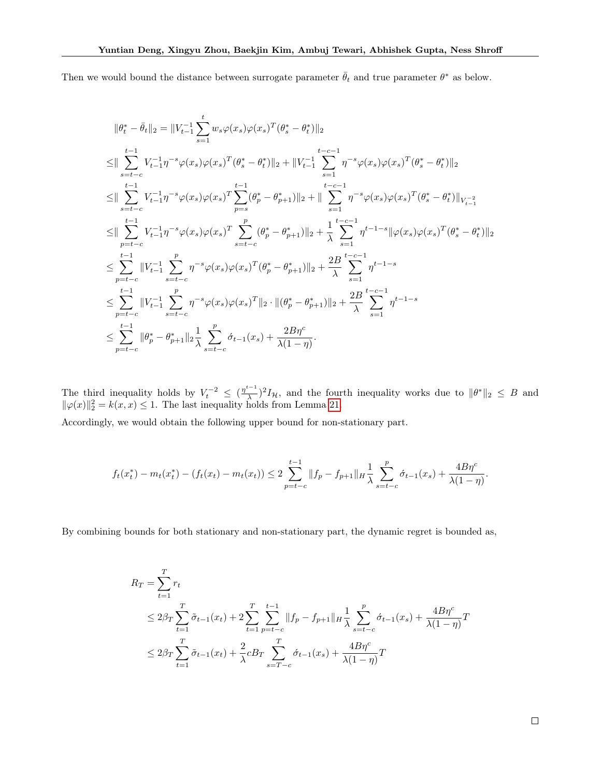Then we would bound the distance between surrogate parameter  $\bar{\theta}_t$  and true parameter  $\theta^*$  as below.

$$
\begin{split} &\|\theta_{t}^{*}-\bar{\theta}_{t}\|_{2}=\|V_{t-1}^{-1}\sum_{s=1}^{t}w_{s}\varphi(x_{s})\varphi(x_{s})^{T}(\theta_{s}^{*}-\theta_{t}^{*})\|_{2}\\ \leq&\|\sum_{s=t-c}^{t-1}V_{t-1}^{-1}\eta^{-s}\varphi(x_{s})\varphi(x_{s})^{T}(\theta_{s}^{*}-\theta_{t}^{*})\|_{2}+\|V_{t-1}^{-1}\sum_{s=1}^{t-c-1}\eta^{-s}\varphi(x_{s})\varphi(x_{s})^{T}(\theta_{s}^{*}-\theta_{t}^{*})\|_{2}\\ \leq&\|\sum_{s=t-c}^{t-1}V_{t-1}^{-1}\eta^{-s}\varphi(x_{s})\varphi(x_{s})^{T}\sum_{p=s}^{t-1}(\theta_{p}^{*}-\theta_{p+1}^{*})\|_{2}+\|\sum_{s=1}^{t-c-1}\eta^{-s}\varphi(x_{s})\varphi(x_{s})^{T}(\theta_{s}^{*}-\theta_{t}^{*})\|_{V_{t-1}^{-2}}\\ \leq&\|\sum_{p=t-c}^{t-1}V_{t-1}^{-1}\eta^{-s}\varphi(x_{s})\varphi(x_{s})^{T}\sum_{s=t-c}^{p}(\theta_{p}^{*}-\theta_{p+1}^{*})\|_{2}+\frac{1}{\lambda}\sum_{s=1}^{t-c-1}\eta^{t-1-s}\|\varphi(x_{s})\varphi(x_{s})^{T}(\theta_{s}^{*}-\theta_{t}^{*})\|_{2}\\ \leq&\sum_{p=t-c}^{t-1}\|V_{t-1}^{-1}\sum_{s=t-c}^{p}\eta^{-s}\varphi(x_{s})\varphi(x_{s})^{T}(\theta_{p}^{*}-\theta_{p+1}^{*})\|_{2}+\frac{2B}{\lambda}\sum_{s=1}^{t-c-1}\eta^{t-1-s}\\ \leq&\sum_{p=t-c}^{t-1}\|V_{t-1}^{-1}\sum_{s=t-c}^{p}\eta^{-s}\varphi(x_{s})\varphi(x_{s})^{T}\|_{2}\cdot\|(\theta_{p}^{*}-\theta_{p+1}^{*})\|_{2}+\frac{2B}{\lambda}\sum_{s=1}^{t-c-1}\eta^{t-1-s}\\ \leq&\sum_{p=t-c}^{t-1}\|\theta_{p}^{*}-\theta_{p+1}^{*}\|_{2}\
$$

The third inequality holds by  $V_t^{-2} \leq (\frac{\eta^{t-1}}{\lambda})$  $\frac{1}{\lambda}$ )<sup>2</sup> $I_{\mathcal{H}}$ , and the fourth inequality works due to  $\|\theta^*\|_2 \leq B$  and  $\|\varphi(x)\|_2^2 = k(x, x) \le 1$ . The last inequality holds from Lemma [21.](#page-17-0)

Accordingly, we would obtain the following upper bound for non-stationary part.

$$
f_t(x_t^*) - m_t(x_t^*) - (f_t(x_t) - m_t(x_t)) \le 2 \sum_{p=t-c}^{t-1} \|f_p - f_{p+1}\|_H \frac{1}{\lambda} \sum_{s=t-c}^p \dot{\sigma}_{t-1}(x_s) + \frac{4B\eta^c}{\lambda(1-\eta)}.
$$

By combining bounds for both stationary and non-stationary part, the dynamic regret is bounded as,

$$
R_T = \sum_{t=1}^T r_t
$$
  
\n
$$
\leq 2\beta_T \sum_{t=1}^T \tilde{\sigma}_{t-1}(x_t) + 2 \sum_{t=1}^T \sum_{p=t-c}^{t-1} \|f_p - f_{p+1}\|_H \frac{1}{\lambda} \sum_{s=t-c}^p \dot{\sigma}_{t-1}(x_s) + \frac{4B\eta^c}{\lambda(1-\eta)}T
$$
  
\n
$$
\leq 2\beta_T \sum_{t=1}^T \tilde{\sigma}_{t-1}(x_t) + \frac{2}{\lambda} cB_T \sum_{s=T-c}^T \dot{\sigma}_{t-1}(x_s) + \frac{4B\eta^c}{\lambda(1-\eta)}T
$$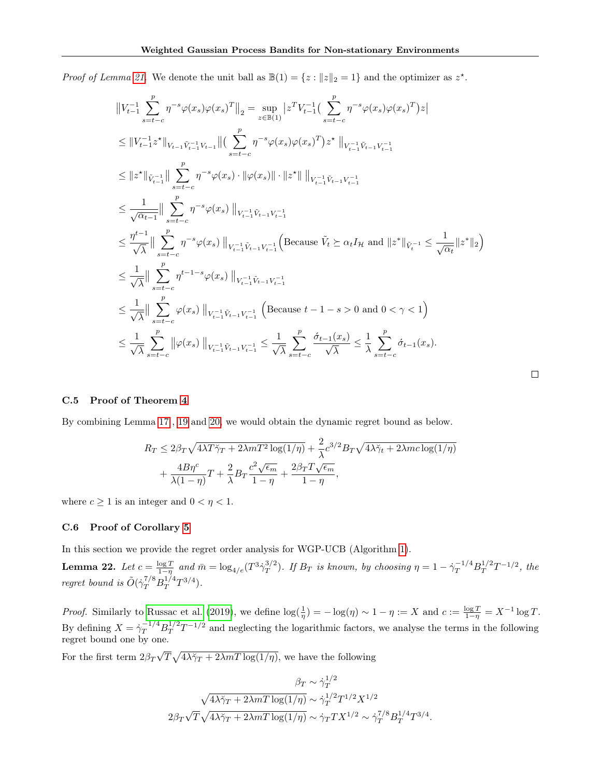*Proof of Lemma [21.](#page-17-0)* We denote the unit ball as  $\mathbb{B}(1) = \{z : ||z||_2 = 1\}$  and the optimizer as  $z^*$ .

$$
\|V_{t-1}^{-1}\sum_{s=t-c}^{p} \eta^{-s}\varphi(x_{s})\varphi(x_{s})^{T}\|_{2} = \sup_{z\in\mathbb{B}(1)} |z^{T}V_{t-1}^{-1}(\sum_{s=t-c}^{p} \eta^{-s}\varphi(x_{s})\varphi(x_{s})^{T})z|
$$
  
\n
$$
\leq \|V_{t-1}^{-1}z^{*}\|_{V_{t-1}\tilde{V}_{t-1}^{-1}V_{t-1}}\|(\sum_{s=t-c}^{p} \eta^{-s}\varphi(x_{s})\varphi(x_{s})^{T})z^{*}\|_{V_{t-1}^{-1}\tilde{V}_{t-1}V_{t-1}^{-1}}
$$
  
\n
$$
\leq \|z^{*}\|_{\tilde{V}_{t-1}^{-1}}\| \sum_{s=t-c}^{p} \eta^{-s}\varphi(x_{s}) \cdot \|\varphi(x_{s})\| \cdot \|z^{*}\| \cdot \|_{V_{t-1}^{-1}\tilde{V}_{t-1}V_{t-1}^{-1}}
$$
  
\n
$$
\leq \frac{1}{\sqrt{\alpha_{t-1}}}\| \sum_{s=t-c}^{p} \eta^{-s}\varphi(x_{s}) \cdot \|_{V_{t-1}^{-1}\tilde{V}_{t-1}V_{t-1}^{-1}} ( \text{Because } \tilde{V}_{t} \succeq \alpha_{t} I_{\mathcal{H}} \text{ and } \|z^{*}\|_{\tilde{V}_{t}^{-1}} \leq \frac{1}{\sqrt{\alpha_{t}}}\|z^{*}\|_{2} )
$$
  
\n
$$
\leq \frac{1}{\sqrt{\lambda}}\| \sum_{s=t-c}^{p} \eta^{t-1-s}\varphi(x_{s}) \cdot \|_{V_{t-1}^{-1}\tilde{V}_{t-1}V_{t-1}^{-1}} ( \text{Because } t-1-s>0 \text{ and } 0 < \gamma < 1 )
$$
  
\n
$$
\leq \frac{1}{\sqrt{\lambda}}\| \sum_{s=t-c}^{p} \varphi(x_{s}) \cdot \|_{V_{t-1}^{-1}\tilde{V}_{t-1}V_{t-1}^{-1}} ( \text{Because } t-1-s>0 \text{ and } 0 < \gamma < 1 )
$$
  
\n
$$
\leq \frac{1}{\sqrt{\lambda}}\| \sum_{s=t-c}^{p} \varphi(x_{s}) \cdot \|_{V_{t-1}^{-1}\til
$$

#### <span id="page-19-0"></span>C.5 Proof of Theorem [4](#page-5-0)

By combining Lemma [17](#page-15-2), [19](#page-16-1) and [20,](#page-16-2) we would obtain the dynamic regret bound as below.

$$
R_T \le 2\beta_T \sqrt{4\lambda T \check{\gamma}_T + 2\lambda m T^2 \log(1/\eta)} + \frac{2}{\lambda} c^{3/2} B_T \sqrt{4\lambda \check{\gamma}_t + 2\lambda m c \log(1/\eta)}
$$
  
+ 
$$
\frac{4B\eta^c}{\lambda(1-\eta)}T + \frac{2}{\lambda}B_T \frac{c^2 \sqrt{\epsilon_m}}{1-\eta} + \frac{2\beta_T T \sqrt{\epsilon_m}}{1-\eta},
$$

 $\Box$ 

where  $c \geq 1$  is an integer and  $0 < \eta < 1$ .

### <span id="page-19-1"></span>C.6 Proof of Corollary [5](#page-6-1)

In this section we provide the regret order analysis for WGP-UCB (Algorithm [1\)](#page-4-0).

**Lemma 22.** Let  $c = \frac{\log T}{1-\eta}$  and  $\bar{m} = \log_{4/e}(T^3 \dot{\gamma}_T^{3/2})$  $T^{3/2}$ ). If  $B_T$  is known, by choosing  $\eta = 1 - \dot{\gamma}_T^{-1/4} B_T^{1/2}$  $T^{1/2}T^{-1/2}$ , the regret bound is  $\tilde{O}(\dot{\gamma}_T^{7/8}B_T^{1/4})$  $T^{1/4}T^{3/4}$ ).

*Proof.* Similarly to [Russac et al. \(2019\)](#page-9-5), we define  $\log(\frac{1}{\eta}) = -\log(\eta) \sim 1 - \eta := X$  and  $c := \frac{\log T}{1 - \eta} = X^{-1} \log T$ . By defining  $X = \dot{\gamma}_T^{-1/4} B_T^{1/2}$  $T^{1/2}T^{-1/2}$  and neglecting the logarithmic factors, we analyse the terms in the following regret bound one by one. √

For the first term  $2\beta_T$  $\overline{T}\sqrt{4\lambda\ddot{\gamma}_T+2\lambda mT\log(1/\eta)},$  we have the following

$$
\beta_T \sim \dot{\gamma}_T^{1/2}
$$

$$
\sqrt{4\lambda \check{\gamma}_T + 2\lambda m T \log(1/\eta)} \sim \dot{\gamma}_T^{1/2} T^{1/2} X^{1/2}
$$

$$
2\beta_T \sqrt{T} \sqrt{4\lambda \check{\gamma}_T + 2\lambda m T \log(1/\eta)} \sim \dot{\gamma}_T T X^{1/2} \sim \dot{\gamma}_T^{7/8} B_T^{1/4} T^{3/4}.
$$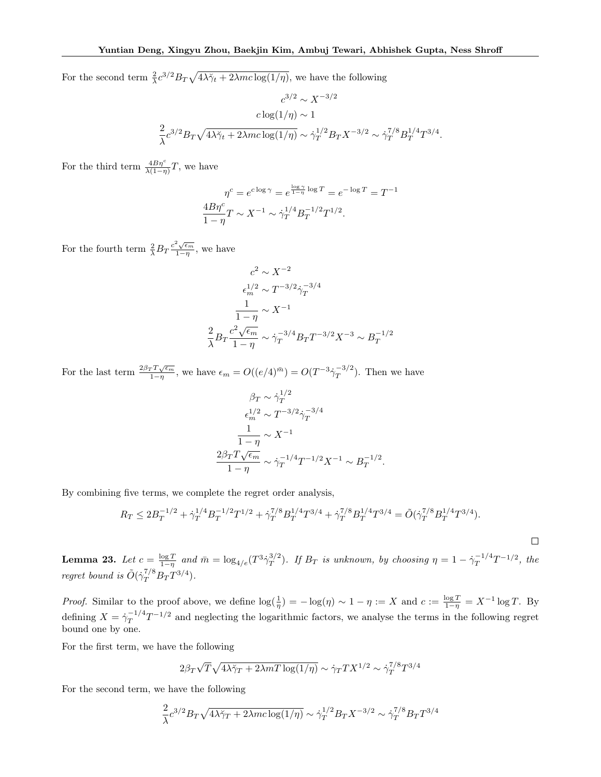For the second term  $\frac{2}{\lambda}c^{3/2}B_T\sqrt{4\lambda\gamma_t+2\lambda mc\log(1/\eta)}$ , we have the following

$$
c^{3/2} \sim X^{-3/2}
$$

$$
c \log(1/\eta) \sim 1
$$

$$
\frac{2}{\lambda} c^{3/2} B_T \sqrt{4\lambda \check{\gamma}_t + 2\lambda mc \log(1/\eta)} \sim \dot{\gamma}_T^{1/2} B_T X^{-3/2} \sim \dot{\gamma}_T^{7/8} B_T^{1/4} T^{3/4}.
$$

For the third term  $\frac{4B\eta^c}{\lambda(1-\eta)}T$ , we have

$$
\eta^{c} = e^{c \log \gamma} = e^{\frac{\log \gamma}{1 - \eta} \log T} = e^{-\log T} = T^{-1}
$$

$$
\frac{4B\eta^{c}}{1 - \eta}T \sim X^{-1} \sim \dot{\gamma}_{T}^{1/4}B_{T}^{-1/2}T^{1/2}.
$$

For the fourth term  $\frac{2}{\lambda}B_T \frac{c^2 \sqrt{\epsilon_m}}{1-\eta}$  $\frac{\sqrt{\epsilon_m}}{1-\eta}$ , we have

$$
c^{2} \sim X^{-2}
$$

$$
\epsilon_{m}^{1/2} \sim T^{-3/2} \dot{\gamma}_{T}^{-3/4}
$$

$$
\frac{1}{1-\eta} \sim X^{-1}
$$

$$
\frac{2}{\lambda} B_{T} \frac{c^{2} \sqrt{\epsilon_{m}}}{1-\eta} \sim \dot{\gamma}_{T}^{-3/4} B_{T} T^{-3/2} X^{-3} \sim B_{T}^{-1/2}
$$

For the last term  $\frac{2\beta_T T \sqrt{\epsilon_m}}{1-r}$  $\frac{rT\sqrt{\epsilon_m}}{1-\eta}$ , we have  $\epsilon_m = O((e/4)^{\bar{m}}) = O(T^{-3}\dot{\gamma}_T^{-3/2})$  $(T^{5/2})$ . Then we have

$$
\beta_T \sim \dot{\gamma}_T^{1/2}
$$

$$
\epsilon_m^{1/2} \sim T^{-3/2} \dot{\gamma}_T^{-3/4}
$$

$$
\frac{1}{1-\eta} \sim X^{-1}
$$

$$
\frac{2\beta_T T \sqrt{\epsilon_m}}{1-\eta} \sim \dot{\gamma}_T^{-1/4} T^{-1/2} X^{-1} \sim B_T^{-1/2}.
$$

By combining five terms, we complete the regret order analysis,

$$
R_T \leq 2 B_T^{-1/2} + \dot{\gamma}_T^{1/4} B_T^{-1/2} T^{1/2} + \dot{\gamma}_T^{7/8} B_T^{1/4} T^{3/4} + \dot{\gamma}_T^{7/8} B_T^{1/4} T^{3/4} = \tilde{O}(\dot{\gamma}_T^{7/8} B_T^{1/4} T^{3/4}).
$$

**Lemma 23.** Let  $c = \frac{\log T}{1-\eta}$  and  $\bar{m} = \log_{4/e}(T^3 \dot{\gamma}_T^{3/2})$  $T^{3/2}$ ). If  $B_T$  is unknown, by choosing  $\eta = 1 - \dot{\gamma}_T^{-1/4}$  $T^{1/4}T^{-1/2}$ , the regret bound is  $\tilde{O}(\dot{\gamma}_T^{7/8}B_T T^{3/4}).$ 

*Proof.* Similar to the proof above, we define  $\log(\frac{1}{\eta}) = -\log(\eta) \sim 1 - \eta := X$  and  $c := \frac{\log T}{1 - \eta} = X^{-1} \log T$ . By defining  $X = \dot{\gamma}_T^{-1/4}$  $T^{1/4}T^{-1/2}$  and neglecting the logarithmic factors, we analyse the terms in the following regret bound one by one.

For the first term, we have the following

$$
2\beta_T\sqrt{T}\sqrt{4\lambda\check{\gamma}_T+2\lambda mT\log(1/\eta)}\sim \dot{\gamma}_TTX^{1/2}\sim \dot{\gamma}_T^{7/8}T^{3/4}
$$

For the second term, we have the following

$$
\frac{2}{\lambda}c^{3/2}B_T\sqrt{4\lambda\check{\gamma}_T+2\lambda mc\log(1/\eta)}\sim \dot{\gamma}_T^{1/2}B_TX^{-3/2}\sim \dot{\gamma}_T^{7/8}B_TT^{3/4}
$$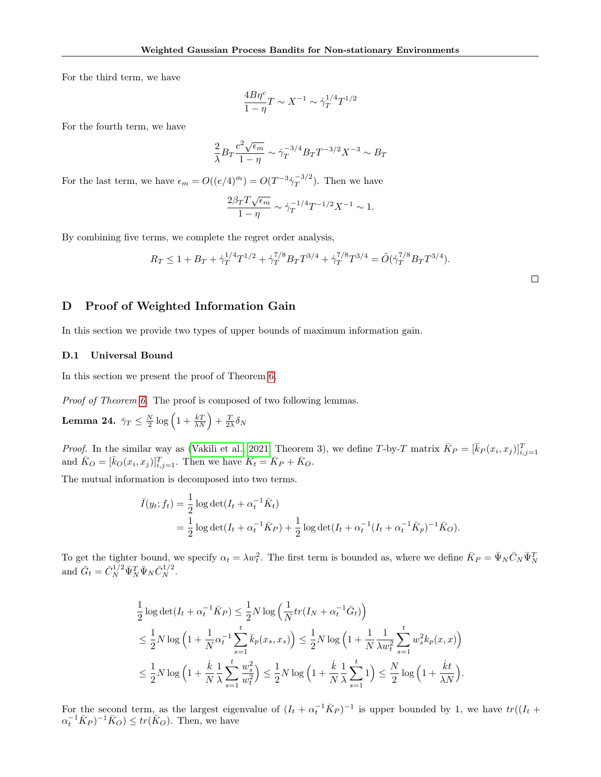For the third term, we have

$$
\frac{4B\eta^c}{1-\eta}T \sim X^{-1} \sim \dot{\gamma}_T^{1/4}T^{1/2}
$$

For the fourth term, we have

$$
\frac{2}{\lambda}B_T \frac{c^2 \sqrt{\epsilon_m}}{1-\eta} \sim \dot{\gamma}_T^{-3/4} B_T T^{-3/2} X^{-3} \sim B_T
$$

For the last term, we have  $\epsilon_m = O((e/4)^{\bar{m}}) = O(T^{-3}\dot{\gamma}_T^{-3/2})$  $\binom{-5/2}{T}$ . Then we have

$$
\frac{2\beta_T T \sqrt{\epsilon_m}}{1-\eta} \sim \dot{\gamma}_T^{-1/4} T^{-1/2} X^{-1} \sim 1.
$$

By combining five terms, we complete the regret order analysis,

$$
R_T \le 1 + B_T + \dot{\gamma}_T^{1/4} T^{1/2} + \dot{\gamma}_T^{7/8} B_T T^{3/4} + \dot{\gamma}_T^{7/8} T^{3/4} = \tilde{O}(\dot{\gamma}_T^{7/8} B_T T^{3/4}).
$$

 $\Box$ 

# D Proof of Weighted Information Gain

In this section we provide two types of upper bounds of maximum information gain.

#### <span id="page-21-0"></span>D.1 Universal Bound

In this section we present the proof of Theorem [6.](#page-6-0)

Proof of Theorem [6.](#page-6-0) The proof is composed of two following lemmas.

<span id="page-21-1"></span>Lemma 24.  $\bar{\gamma}_T \leq \frac{N}{2} \log \left( 1 + \frac{\dot{k}T}{\lambda N} \right) + \frac{T}{2 \lambda} \delta_N$ 

*Proof.* In the similar way as [\(Vakili et al., 2021,](#page-9-13) Theorem 3), we define T-by-T matrix  $\bar{K}_P = [\bar{k}_P(x_i, x_j)]_{i,j=1}^T$ and  $\bar{K}_O = [\bar{k}_O(x_i, x_j)]_{i,j=1}^T$ . Then we have  $\bar{K}_t = \bar{K}_P + \bar{K}_O$ .

The mutual information is decomposed into two terms.

$$
\bar{I}(y_t; f_t) = \frac{1}{2} \log \det(I_t + \alpha_t^{-1} \bar{K}_t)
$$
  
=  $\frac{1}{2} \log \det(I_t + \alpha_t^{-1} \bar{K}_P) + \frac{1}{2} \log \det(I_t + \alpha_t^{-1} (I_t + \alpha_t^{-1} \bar{K}_P)^{-1} \bar{K}_O).$ 

To get the tighter bound, we specify  $\alpha_t = \lambda w_t^2$ . The first term is bounded as, where we define  $\bar{K}_P = \bar{\Psi}_N \bar{C}_N \bar{\Psi}_N^T$  and  $\bar{G}_t = \bar{C}_N^{1/2} \bar{\Psi}_N^T \bar{\Psi}_N \bar{C}_N^{1/2}$ .

$$
\frac{1}{2}\log\det(I_t + \alpha_t^{-1}\bar{K}_P) \le \frac{1}{2}N\log\left(\frac{1}{N}tr(I_N + \alpha_t^{-1}\bar{G}_t)\right) \n\le \frac{1}{2}N\log\left(1 + \frac{1}{N}\alpha_t^{-1}\sum_{s=1}^t \bar{k}_p(x_s, x_s)\right) \le \frac{1}{2}N\log\left(1 + \frac{1}{N}\frac{1}{\lambda w_t^2}\sum_{s=1}^t w_s^2 k_p(x, x)\right) \n\le \frac{1}{2}N\log\left(1 + \frac{k}{N}\frac{1}{\lambda}\sum_{s=1}^t \frac{w_s^2}{w_t^2}\right) \le \frac{1}{2}N\log\left(1 + \frac{k}{N}\frac{1}{\lambda}\sum_{s=1}^t 1\right) \le \frac{N}{2}\log\left(1 + \frac{kt}{\lambda N}\right).
$$

For the second term, as the largest eigenvalue of  $(I_t + \alpha_t^{-1} \bar{K}_P)^{-1}$  is upper bounded by 1, we have  $tr((I_t +$  $\alpha_t^{-1} \bar{K}_P$ )<sup>-1</sup> $\bar{K}_O$ )  $\leq tr(\bar{K}_O)$ . Then, we have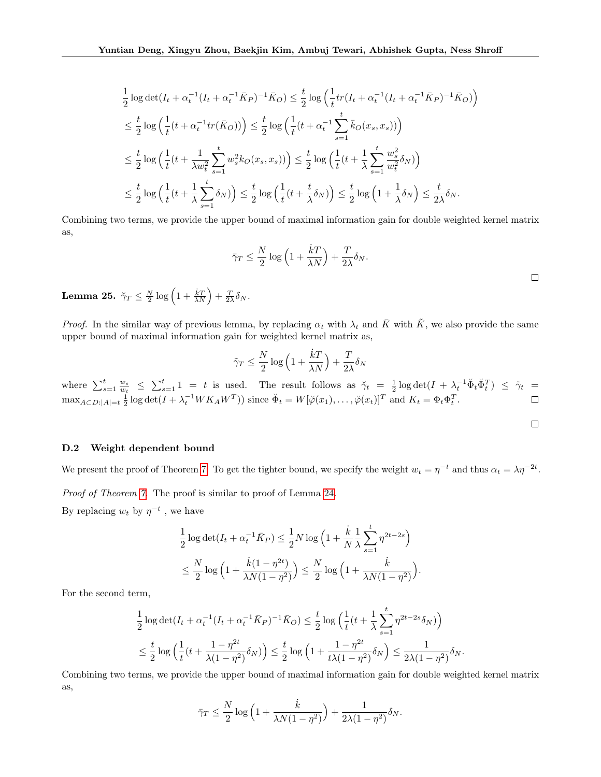$$
\frac{1}{2}\log\det(I_t + \alpha_t^{-1}(I_t + \alpha_t^{-1}\bar{K}_P)^{-1}\bar{K}_O) \le \frac{t}{2}\log\left(\frac{1}{t}tr(I_t + \alpha_t^{-1}(I_t + \alpha_t^{-1}\bar{K}_P)^{-1}\bar{K}_O)\right) \n\le \frac{t}{2}\log\left(\frac{1}{t}(t + \alpha_t^{-1}tr(\bar{K}_O)))\right) \le \frac{t}{2}\log\left(\frac{1}{t}(t + \alpha_t^{-1}\sum_{s=1}^t\bar{k}_O(x_s, x_s))\right) \n\le \frac{t}{2}\log\left(\frac{1}{t}(t + \frac{1}{\lambda w_t^2}\sum_{s=1}^t w_s^2 k_O(x_s, x_s))\right) \le \frac{t}{2}\log\left(\frac{1}{t}(t + \frac{1}{\lambda}\sum_{s=1}^t \frac{w_s^2}{w_t^2}\delta_N)\right) \n\le \frac{t}{2}\log\left(\frac{1}{t}(t + \frac{1}{\lambda}\sum_{s=1}^t\delta_N)\right) \le \frac{t}{2}\log\left(\frac{1}{t}(t + \frac{t}{\lambda}\delta_N)\right) \le \frac{t}{2}\log\left(1 + \frac{1}{\lambda}\delta_N\right) \le \frac{t}{2\lambda}\delta_N.
$$

Combining two terms, we provide the upper bound of maximal information gain for double weighted kernel matrix as,

$$
\bar{\gamma}_T \le \frac{N}{2} \log \left( 1 + \frac{kT}{\lambda N} \right) + \frac{T}{2\lambda} \delta_N.
$$

Lemma 25.  $\breve{\gamma}_T \leq \frac{N}{2} \log \left( 1 + \frac{\dot{k} T}{\lambda N} \right) + \frac{T}{2 \lambda} \delta_N.$ 

*Proof.* In the similar way of previous lemma, by replacing  $\alpha_t$  with  $\lambda_t$  and  $\bar{K}$  with  $\tilde{K}$ , we also provide the same upper bound of maximal information gain for weighted kernel matrix as,

$$
\tilde{\gamma}_T \leq \frac{N}{2} \log \left( 1 + \frac{\dot{k} T}{\lambda N} \right) + \frac{T}{2 \lambda} \delta_N
$$

where  $\sum_{s=1}^t \frac{w_s}{w_t} \leq \sum_{s=1}^t 1 = t$  is used. The result follows as  $\check{\gamma}_t = \frac{1}{2} \log \det(I + \lambda_t^{-1} \check{\Phi}_t \check{\Phi}_t^T) \leq \tilde{\gamma}_t =$  $\max_{A \subset D: |A|=t} \frac{1}{2} \log \det(I + \lambda_t^{-1} W K_A W^T)$  since  $\breve{\Phi}_t = W[\breve{\varphi}(x_1), \dots, \breve{\varphi}(x_t)]^T$  and  $K_t = \Phi_t \Phi_t^T$ .

$$
\qquad \qquad \Box
$$

## D.2 Weight dependent bound

We present the proof of Theorem [7.](#page-7-3) To get the tighter bound, we specify the weight  $w_t = \eta^{-t}$  and thus  $\alpha_t = \lambda \eta^{-2t}$ .

Proof of Theorem [7.](#page-7-3) The proof is similar to proof of Lemma [24.](#page-21-1)

By replacing  $w_t$  by  $\eta^{-t}$ , we have

$$
\frac{1}{2}\log\det(I_t + \alpha_t^{-1}\bar{K}_P) \le \frac{1}{2}N\log\left(1 + \frac{\dot{k}}{N}\frac{1}{\lambda}\sum_{s=1}^t \eta^{2t-2s}\right)
$$

$$
\le \frac{N}{2}\log\left(1 + \frac{\dot{k}(1-\eta^{2t})}{\lambda N(1-\eta^2)}\right) \le \frac{N}{2}\log\left(1 + \frac{\dot{k}}{\lambda N(1-\eta^2)}\right).
$$

For the second term,

$$
\frac{1}{2}\log\det(I_t + \alpha_t^{-1}(I_t + \alpha_t^{-1}\bar{K}_P)^{-1}\bar{K}_O) \le \frac{t}{2}\log\left(\frac{1}{t}(t + \frac{1}{\lambda}\sum_{s=1}^t \eta^{2t-2s}\delta_N)\right) \le \frac{t}{2}\log\left(\frac{1}{t}(t + \frac{1-\eta^{2t}}{\lambda(1-\eta^2)}\delta_N)\right) \le \frac{t}{2}\log\left(1 + \frac{1-\eta^{2t}}{t\lambda(1-\eta^2)}\delta_N\right) \le \frac{1}{2\lambda(1-\eta^2)}\delta_N.
$$

Combining two terms, we provide the upper bound of maximal information gain for double weighted kernel matrix as,

$$
\bar{\gamma}_T \le \frac{N}{2} \log \left( 1 + \frac{\dot{k}}{\lambda N(1 - \eta^2)} \right) + \frac{1}{2\lambda(1 - \eta^2)} \delta_N.
$$